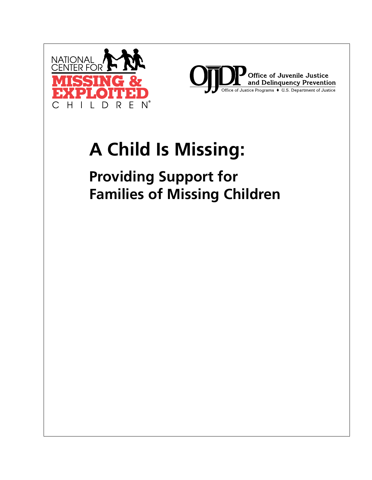



# **A Child Is Missing:**

**Providing Support for Families of Missing Children**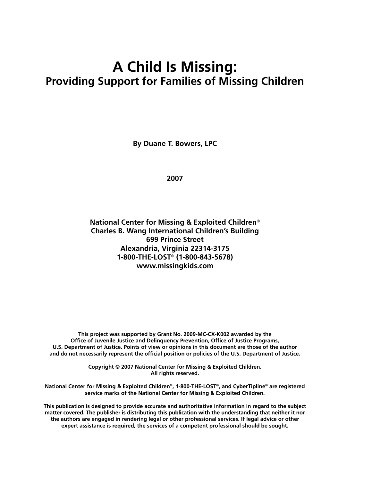# **A Child Is Missing: Providing Support for Families of Missing Children**

**By Duane T. Bowers, LPC**

**2007**

**National Center for Missing & Exploited Children**® **Charles B. Wang International Children's Building 699 Prince Street Alexandria, Virginia 22314-3175 1-800-THE-LOST**® **(1-800-843-5678) www.missingkids.com**

**This project was supported by Grant No. 2009-MC-CX-K002 awarded by the Office of Juvenile Justice and Delinquency Prevention, Office of Justice Programs, U.S. Department of Justice. Points of view or opinions in this document are those of the author and do not necessarily represent the official position or policies of the U.S. Department of Justice.**

> **Copyright © 2007 National Center for Missing & Exploited Children. All rights reserved.**

**National Center for Missing & Exploited Children®, 1-800-THE-LOST®, and CyberTipline® are registered service marks of the National Center for Missing & Exploited Children.**

**This publication is designed to provide accurate and authoritative information in regard to the subject matter covered. The publisher is distributing this publication with the understanding that neither it nor the authors are engaged in rendering legal or other professional services. If legal advice or other expert assistance is required, the services of a competent professional should be sought.**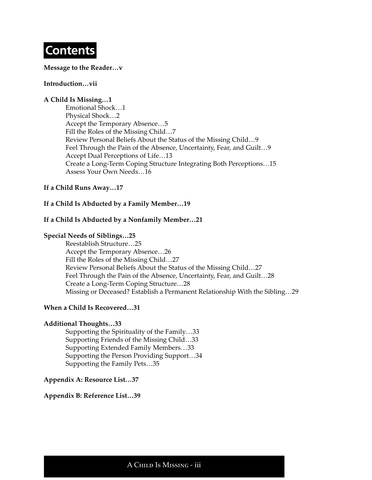# **Contents**

#### **Message to the Reader…v**

#### **Introduction…vii**

#### **A Child Is Missing…1**

Emotional Shock…1 Physical Shock…2 Accept the Temporary Absence…5 Fill the Roles of the Missing Child…7 Review Personal Beliefs About the Status of the Missing Child…9 Feel Through the Pain of the Absence, Uncertainty, Fear, and Guilt…9 Accept Dual Perceptions of Life…13 Create a Long-Term Coping Structure Integrating Both Perceptions…15 Assess Your Own Needs…16

#### **If a Child Runs Away…17**

#### **If a Child Is Abducted by a Family Member…19**

#### **If a Child Is Abducted by a Nonfamily Member…21**

#### **Special Needs of Siblings…25**

Reestablish Structure…25 Accept the Temporary Absence…26 Fill the Roles of the Missing Child…27 Review Personal Beliefs About the Status of the Missing Child…27 Feel Through the Pain of the Absence, Uncertainty, Fear, and Guilt…28 Create a Long-Term Coping Structure…28 Missing or Deceased? Establish a Permanent Relationship With the Sibling…29

#### **When a Child Is Recovered…31**

#### **Additional Thoughts…33**

Supporting the Spirituality of the Family…33 Supporting Friends of the Missing Child…33 Supporting Extended Family Members…33 Supporting the Person Providing Support…34 Supporting the Family Pets…35

#### **Appendix A: Resource List…37**

#### **Appendix B: Reference List…39**

A Child Is Missing - iii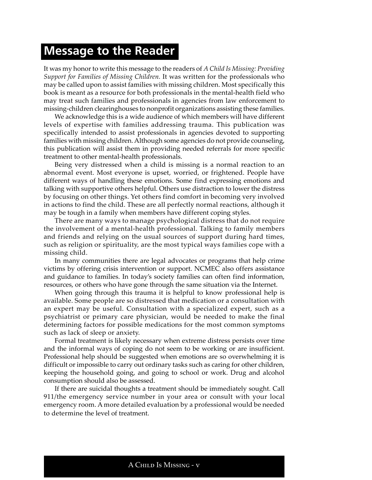# **Message to the Reader**

It was my honor to write this message to the readers of *A Child Is Missing: Providing Support for Families of Missing Children.* It was written for the professionals who may be called upon to assist families with missing children. Most specifically this book is meant as a resource for both professionals in the mental-health field who may treat such families and professionals in agencies from law enforcement to missing-children clearinghouses to nonprofit organizations assisting these families.

We acknowledge this is a wide audience of which members will have different levels of expertise with families addressing trauma. This publication was specifically intended to assist professionals in agencies devoted to supporting families with missing children. Although some agencies do not provide counseling, this publication will assist them in providing needed referrals for more specific treatment to other mental-health professionals.

Being very distressed when a child is missing is a normal reaction to an abnormal event. Most everyone is upset, worried, or frightened. People have different ways of handling these emotions. Some find expressing emotions and talking with supportive others helpful. Others use distraction to lower the distress by focusing on other things. Yet others find comfort in becoming very involved in actions to find the child. These are all perfectly normal reactions, although it may be tough in a family when members have different coping styles.

There are many ways to manage psychological distress that do not require the involvement of a mental-health professional. Talking to family members and friends and relying on the usual sources of support during hard times, such as religion or spirituality, are the most typical ways families cope with a missing child.

In many communities there are legal advocates or programs that help crime victims by offering crisis intervention or support. NCMEC also offers assistance and guidance to families. In today's society families can often find information, resources, or others who have gone through the same situation via the Internet.

When going through this trauma it is helpful to know professional help is available. Some people are so distressed that medication or a consultation with an expert may be useful. Consultation with a specialized expert, such as a psychiatrist or primary care physician, would be needed to make the final determining factors for possible medications for the most common symptoms such as lack of sleep or anxiety.

Formal treatment is likely necessary when extreme distress persists over time and the informal ways of coping do not seem to be working or are insufficient. Professional help should be suggested when emotions are so overwhelming it is difficult or impossible to carry out ordinary tasks such as caring for other children, keeping the household going, and going to school or work. Drug and alcohol consumption should also be assessed.

If there are suicidal thoughts a treatment should be immediately sought. Call 911/the emergency service number in your area or consult with your local emergency room. A more detailed evaluation by a professional would be needed to determine the level of treatment.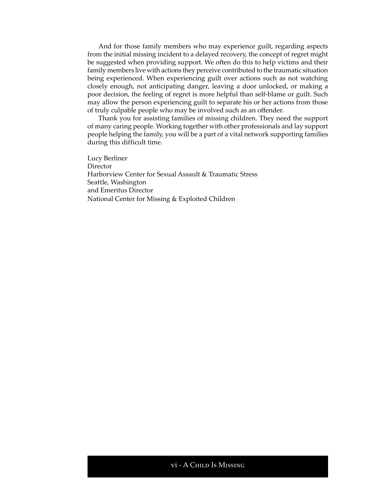And for those family members who may experience guilt, regarding aspects from the initial missing incident to a delayed recovery, the concept of regret might be suggested when providing support. We often do this to help victims and their family members live with actions they perceive contributed to the traumatic situation being experienced. When experiencing guilt over actions such as not watching closely enough, not anticipating danger, leaving a door unlocked, or making a poor decision, the feeling of regret is more helpful than self-blame or guilt. Such may allow the person experiencing guilt to separate his or her actions from those of truly culpable people who may be involved such as an offender.

Thank you for assisting families of missing children. They need the support of many caring people. Working together with other professionals and lay support people helping the family, you will be a part of a vital network supporting families during this difficult time.

Lucy Berliner **Director** Harborview Center for Sexual Assault & Traumatic Stress Seattle, Washington and Emeritus Director National Center for Missing & Exploited Children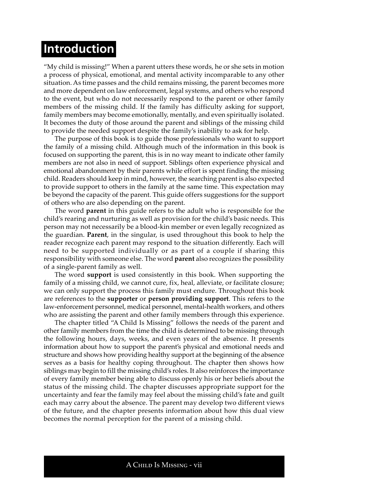# **Introduction**

"My child is missing!" When a parent utters these words, he or she sets in motion a process of physical, emotional, and mental activity incomparable to any other situation. As time passes and the child remains missing, the parent becomes more and more dependent on law enforcement, legal systems, and others who respond to the event, but who do not necessarily respond to the parent or other family members of the missing child. If the family has difficulty asking for support, family members may become emotionally, mentally, and even spiritually isolated. It becomes the duty of those around the parent and siblings of the missing child to provide the needed support despite the family's inability to ask for help.

The purpose of this book is to guide those professionals who want to support the family of a missing child. Although much of the information in this book is focused on supporting the parent, this is in no way meant to indicate other family members are not also in need of support. Siblings often experience physical and emotional abandonment by their parents while effort is spent finding the missing child. Readers should keep in mind, however, the searching parent is also expected to provide support to others in the family at the same time. This expectation may be beyond the capacity of the parent. This guide offers suggestions for the support of others who are also depending on the parent.

The word **parent** in this guide refers to the adult who is responsible for the child's rearing and nurturing as well as provision for the child's basic needs. This person may not necessarily be a blood-kin member or even legally recognized as the guardian. **Parent**, in the singular, is used throughout this book to help the reader recognize each parent may respond to the situation differently. Each will need to be supported individually or as part of a couple if sharing this responsibility with someone else. The word **parent** also recognizes the possibility of a single-parent family as well.

The word **support** is used consistently in this book. When supporting the family of a missing child, we cannot cure, fix, heal, alleviate, or facilitate closure; we can only support the process this family must endure. Throughout this book are references to the **supporter** or **person providing support**. This refers to the law-enforcement personnel, medical personnel, mental-health workers, and others who are assisting the parent and other family members through this experience.

The chapter titled "A Child Is Missing" follows the needs of the parent and other family members from the time the child is determined to be missing through the following hours, days, weeks, and even years of the absence. It presents information about how to support the parent's physical and emotional needs and structure and shows how providing healthy support at the beginning of the absence serves as a basis for healthy coping throughout. The chapter then shows how siblings may begin to fill the missing child's roles. It also reinforces the importance of every family member being able to discuss openly his or her beliefs about the status of the missing child. The chapter discusses appropriate support for the uncertainty and fear the family may feel about the missing child's fate and guilt each may carry about the absence. The parent may develop two different views of the future, and the chapter presents information about how this dual view becomes the normal perception for the parent of a missing child.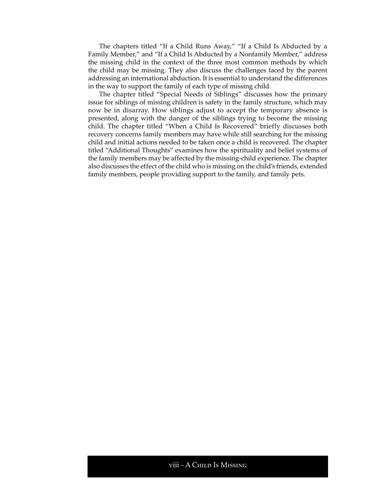The chapters titled "If a Child Runs Away," "If a Child Is Abducted by a Family Member," and "If a Child Is Abducted by a Nonfamily Member," address the missing child in the context of the three most common methods by which the child may be missing. They also discuss the challenges faced by the parent addressing an international abduction. It is essential to understand the differences in the way to support the family of each type of missing child.

The chapter titled "Special Needs of Siblings" discusses how the primary issue for siblings of missing children is safety in the family structure, which may now be in disarray. How siblings adjust to accept the temporary absence is presented, along with the danger of the siblings trying to become the missing child. The chapter titled "When a Child Is Recovered" briefly discusses both recovery concerns family members may have while still searching for the missing child and initial actions needed to be taken once a child is recovered. The chapter titled "Additional Thoughts" examines how the spirituality and belief systems of the family members may be affected by the missing-child experience. The chapter also discusses the effect of the child who is missing on the child's friends, extended family members, people providing support to the family, and family pets.

#### viii - A Child Is Missing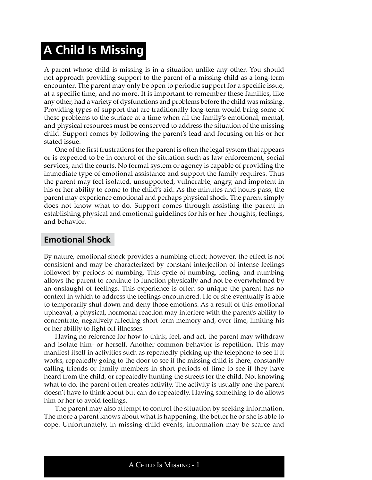# **A Child Is Missing**

A parent whose child is missing is in a situation unlike any other. You should not approach providing support to the parent of a missing child as a long-term encounter. The parent may only be open to periodic support for a specific issue, at a specific time, and no more. It is important to remember these families, like any other, had a variety of dysfunctions and problems before the child was missing. Providing types of support that are traditionally long-term would bring some of these problems to the surface at a time when all the family's emotional, mental, and physical resources must be conserved to address the situation of the missing child. Support comes by following the parent's lead and focusing on his or her stated issue.

One of the first frustrations for the parent is often the legal system that appears or is expected to be in control of the situation such as law enforcement, social services, and the courts. No formal system or agency is capable of providing the immediate type of emotional assistance and support the family requires. Thus the parent may feel isolated, unsupported, vulnerable, angry, and impotent in his or her ability to come to the child's aid. As the minutes and hours pass, the parent may experience emotional and perhaps physical shock. The parent simply does not know what to do. Support comes through assisting the parent in establishing physical and emotional guidelines for his or her thoughts, feelings, and behavior.

### **Emotional Shock**

By nature, emotional shock provides a numbing effect; however, the effect is not consistent and may be characterized by constant interjection of intense feelings followed by periods of numbing. This cycle of numbing, feeling, and numbing allows the parent to continue to function physically and not be overwhelmed by an onslaught of feelings. This experience is often so unique the parent has no context in which to address the feelings encountered. He or she eventually is able to temporarily shut down and deny those emotions. As a result of this emotional upheaval, a physical, hormonal reaction may interfere with the parent's ability to concentrate, negatively affecting short-term memory and, over time, limiting his or her ability to fight off illnesses.

Having no reference for how to think, feel, and act, the parent may withdraw and isolate him- or herself. Another common behavior is repetition. This may manifest itself in activities such as repeatedly picking up the telephone to see if it works, repeatedly going to the door to see if the missing child is there, constantly calling friends or family members in short periods of time to see if they have heard from the child, or repeatedly hunting the streets for the child. Not knowing what to do, the parent often creates activity. The activity is usually one the parent doesn't have to think about but can do repeatedly. Having something to do allows him or her to avoid feelings.

The parent may also attempt to control the situation by seeking information. The more a parent knows about what is happening, the better he or she is able to cope. Unfortunately, in missing-child events, information may be scarce and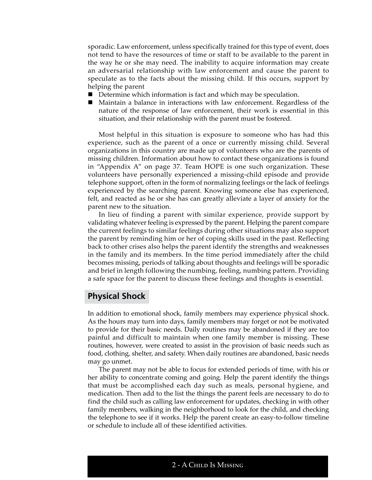sporadic. Law enforcement, unless specifically trained for this type of event, does not tend to have the resources of time or staff to be available to the parent in the way he or she may need. The inability to acquire information may create an adversarial relationship with law enforcement and cause the parent to speculate as to the facts about the missing child. If this occurs, support by helping the parent

- Determine which information is fact and which may be speculation.
- Maintain a balance in interactions with law enforcement. Regardless of the nature of the response of law enforcement, their work is essential in this situation, and their relationship with the parent must be fostered.

Most helpful in this situation is exposure to someone who has had this experience, such as the parent of a once or currently missing child. Several organizations in this country are made up of volunteers who are the parents of missing children. Information about how to contact these organizations is found in "Appendix A" on page 37. Team HOPE is one such organization. These volunteers have personally experienced a missing-child episode and provide telephone support, often in the form of normalizing feelings or the lack of feelings experienced by the searching parent. Knowing someone else has experienced, felt, and reacted as he or she has can greatly alleviate a layer of anxiety for the parent new to the situation.

In lieu of finding a parent with similar experience, provide support by validating whatever feeling is expressed by the parent. Helping the parent compare the current feelings to similar feelings during other situations may also support the parent by reminding him or her of coping skills used in the past. Reflecting back to other crises also helps the parent identify the strengths and weaknesses in the family and its members. In the time period immediately after the child becomes missing, periods of talking about thoughts and feelings will be sporadic and brief in length following the numbing, feeling, numbing pattern. Providing a safe space for the parent to discuss these feelings and thoughts is essential.

### **Physical Shock**

In addition to emotional shock, family members may experience physical shock. As the hours may turn into days, family members may forget or not be motivated to provide for their basic needs. Daily routines may be abandoned if they are too painful and difficult to maintain when one family member is missing. These routines, however, were created to assist in the provision of basic needs such as food, clothing, shelter, and safety. When daily routines are abandoned, basic needs may go unmet.

The parent may not be able to focus for extended periods of time, with his or her ability to concentrate coming and going. Help the parent identify the things that must be accomplished each day such as meals, personal hygiene, and medication. Then add to the list the things the parent feels are necessary to do to find the child such as calling law enforcement for updates, checking in with other family members, walking in the neighborhood to look for the child, and checking the telephone to see if it works. Help the parent create an easy-to-follow timeline or schedule to include all of these identified activities.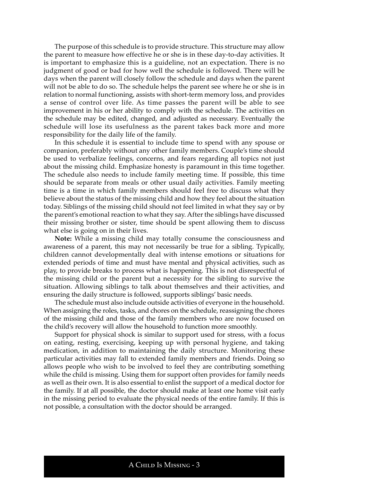The purpose of this schedule is to provide structure. This structure may allow the parent to measure how effective he or she is in these day-to-day activities. It is important to emphasize this is a guideline, not an expectation. There is no judgment of good or bad for how well the schedule is followed. There will be days when the parent will closely follow the schedule and days when the parent will not be able to do so. The schedule helps the parent see where he or she is in relation to normal functioning, assists with short-term memory loss, and provides a sense of control over life. As time passes the parent will be able to see improvement in his or her ability to comply with the schedule. The activities on the schedule may be edited, changed, and adjusted as necessary. Eventually the schedule will lose its usefulness as the parent takes back more and more responsibility for the daily life of the family.

In this schedule it is essential to include time to spend with any spouse or companion, preferably without any other family members. Couple's time should be used to verbalize feelings, concerns, and fears regarding all topics not just about the missing child. Emphasize honesty is paramount in this time together. The schedule also needs to include family meeting time. If possible, this time should be separate from meals or other usual daily activities. Family meeting time is a time in which family members should feel free to discuss what they believe about the status of the missing child and how they feel about the situation today. Siblings of the missing child should not feel limited in what they say or by the parent's emotional reaction to what they say. After the siblings have discussed their missing brother or sister, time should be spent allowing them to discuss what else is going on in their lives.

**Note:** While a missing child may totally consume the consciousness and awareness of a parent, this may not necessarily be true for a sibling. Typically, children cannot developmentally deal with intense emotions or situations for extended periods of time and must have mental and physical activities, such as play, to provide breaks to process what is happening. This is not disrespectful of the missing child or the parent but a necessity for the sibling to survive the situation. Allowing siblings to talk about themselves and their activities, and ensuring the daily structure is followed, supports siblings' basic needs.

The schedule must also include outside activities of everyone in the household. When assigning the roles, tasks, and chores on the schedule, reassigning the chores of the missing child and those of the family members who are now focused on the child's recovery will allow the household to function more smoothly.

Support for physical shock is similar to support used for stress, with a focus on eating, resting, exercising, keeping up with personal hygiene, and taking medication, in addition to maintaining the daily structure. Monitoring these particular activities may fall to extended family members and friends. Doing so allows people who wish to be involved to feel they are contributing something while the child is missing. Using them for support often provides for family needs as well as their own. It is also essential to enlist the support of a medical doctor for the family. If at all possible, the doctor should make at least one home visit early in the missing period to evaluate the physical needs of the entire family. If this is not possible, a consultation with the doctor should be arranged.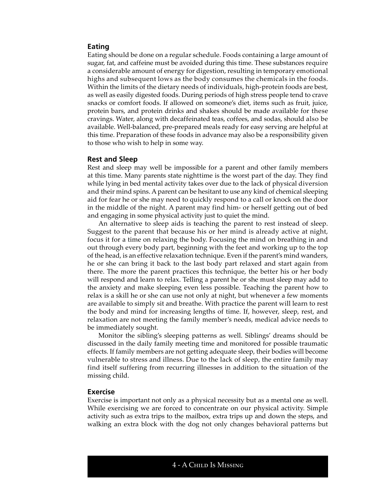#### **Eating**

Eating should be done on a regular schedule. Foods containing a large amount of sugar, fat, and caffeine must be avoided during this time. These substances require a considerable amount of energy for digestion, resulting in temporary emotional highs and subsequent lows as the body consumes the chemicals in the foods. Within the limits of the dietary needs of individuals, high-protein foods are best, as well as easily digested foods. During periods of high stress people tend to crave snacks or comfort foods. If allowed on someone's diet, items such as fruit, juice, protein bars, and protein drinks and shakes should be made available for these cravings. Water, along with decaffeinated teas, coffees, and sodas, should also be available. Well-balanced, pre-prepared meals ready for easy serving are helpful at this time. Preparation of these foods in advance may also be a responsibility given to those who wish to help in some way.

#### **Rest and Sleep**

Rest and sleep may well be impossible for a parent and other family members at this time. Many parents state nighttime is the worst part of the day. They find while lying in bed mental activity takes over due to the lack of physical diversion and their mind spins. A parent can be hesitant to use any kind of chemical sleeping aid for fear he or she may need to quickly respond to a call or knock on the door in the middle of the night. A parent may find him- or herself getting out of bed and engaging in some physical activity just to quiet the mind.

An alternative to sleep aids is teaching the parent to rest instead of sleep. Suggest to the parent that because his or her mind is already active at night, focus it for a time on relaxing the body. Focusing the mind on breathing in and out through every body part, beginning with the feet and working up to the top of the head, is an effective relaxation technique. Even if the parent's mind wanders, he or she can bring it back to the last body part relaxed and start again from there. The more the parent practices this technique, the better his or her body will respond and learn to relax. Telling a parent he or she must sleep may add to the anxiety and make sleeping even less possible. Teaching the parent how to relax is a skill he or she can use not only at night, but whenever a few moments are available to simply sit and breathe. With practice the parent will learn to rest the body and mind for increasing lengths of time. If, however, sleep, rest, and relaxation are not meeting the family member's needs, medical advice needs to be immediately sought.

Monitor the sibling's sleeping patterns as well. Siblings' dreams should be discussed in the daily family meeting time and monitored for possible traumatic effects. If family members are not getting adequate sleep, their bodies will become vulnerable to stress and illness. Due to the lack of sleep, the entire family may find itself suffering from recurring illnesses in addition to the situation of the missing child.

#### **Exercise**

Exercise is important not only as a physical necessity but as a mental one as well. While exercising we are forced to concentrate on our physical activity. Simple activity such as extra trips to the mailbox, extra trips up and down the steps, and walking an extra block with the dog not only changes behavioral patterns but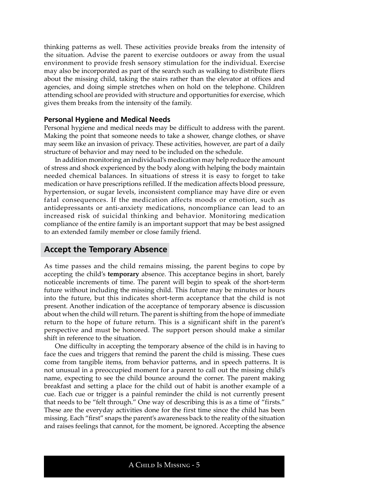thinking patterns as well. These activities provide breaks from the intensity of the situation. Advise the parent to exercise outdoors or away from the usual environment to provide fresh sensory stimulation for the individual. Exercise may also be incorporated as part of the search such as walking to distribute fliers about the missing child, taking the stairs rather than the elevator at offices and agencies, and doing simple stretches when on hold on the telephone. Children attending school are provided with structure and opportunities for exercise, which gives them breaks from the intensity of the family.

#### **Personal Hygiene and Medical Needs**

Personal hygiene and medical needs may be difficult to address with the parent. Making the point that someone needs to take a shower, change clothes, or shave may seem like an invasion of privacy. These activities, however, are part of a daily structure of behavior and may need to be included on the schedule.

In addition monitoring an individual's medication may help reduce the amount of stress and shock experienced by the body along with helping the body maintain needed chemical balances. In situations of stress it is easy to forget to take medication or have prescriptions refilled. If the medication affects blood pressure, hypertension, or sugar levels, inconsistent compliance may have dire or even fatal consequences. If the medication affects moods or emotion, such as antidepressants or anti-anxiety medications, noncompliance can lead to an increased risk of suicidal thinking and behavior. Monitoring medication compliance of the entire family is an important support that may be best assigned to an extended family member or close family friend.

# **Accept the Temporary Absence**

As time passes and the child remains missing, the parent begins to cope by accepting the child's **temporary** absence. This acceptance begins in short, barely noticeable increments of time. The parent will begin to speak of the short-term future without including the missing child. This future may be minutes or hours into the future, but this indicates short-term acceptance that the child is not present. Another indication of the acceptance of temporary absence is discussion about when the child will return. The parent is shifting from the hope of immediate return to the hope of future return. This is a significant shift in the parent's perspective and must be honored. The support person should make a similar shift in reference to the situation.

One difficulty in accepting the temporary absence of the child is in having to face the cues and triggers that remind the parent the child is missing. These cues come from tangible items, from behavior patterns, and in speech patterns. It is not unusual in a preoccupied moment for a parent to call out the missing child's name, expecting to see the child bounce around the corner. The parent making breakfast and setting a place for the child out of habit is another example of a cue. Each cue or trigger is a painful reminder the child is not currently present that needs to be "felt through." One way of describing this is as a time of "firsts." These are the everyday activities done for the first time since the child has been missing. Each "first" snaps the parent's awareness back to the reality of the situation and raises feelings that cannot, for the moment, be ignored. Accepting the absence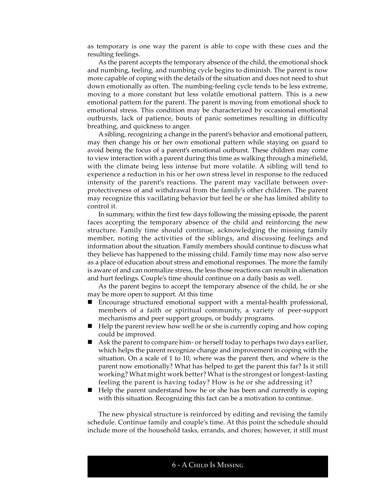as temporary is one way the parent is able to cope with these cues and the resulting feelings.

As the parent accepts the temporary absence of the child, the emotional shock and numbing, feeling, and numbing cycle begins to diminish. The parent is now more capable of coping with the details of the situation and does not need to shut down emotionally as often. The numbing-feeling cycle tends to be less extreme, moving to a more constant but less volatile emotional pattern. This is a new emotional pattern for the parent. The parent is moving from emotional shock to emotional stress. This condition may be characterized by occasional emotional outbursts, lack of patience, bouts of panic sometimes resulting in difficulty breathing, and quickness to anger.

A sibling, recognizing a change in the parent's behavior and emotional pattern, may then change his or her own emotional pattern while staying on guard to avoid being the focus of a parent's emotional outburst. These children may come to view interaction with a parent during this time as walking through a minefield, with the climate being less intense but more volatile. A sibling will tend to experience a reduction in his or her own stress level in response to the reduced intensity of the parent's reactions. The parent may vacillate between overprotectiveness of and withdrawal from the family's other children. The parent may recognize this vacillating behavior but feel he or she has limited ability to control it.

In summary, within the first few days following the missing episode, the parent faces accepting the temporary absence of the child and reinforcing the new structure. Family time should continue, acknowledging the missing family member, noting the activities of the siblings, and discussing feelings and information about the situation. Family members should continue to discuss what they believe has happened to the missing child. Family time may now also serve as a place of education about stress and emotional responses. The more the family is aware of and can normalize stress, the less those reactions can result in alienation and hurt feelings. Couple's time should continue on a daily basis as well.

As the parent begins to accept the temporary absence of the child, he or she may be more open to support. At this time

- Encourage structured emotional support with a mental-health professional, members of a faith or spiritual community, a variety of peer-support mechanisms and peer support groups, or buddy programs.
- Help the parent review how well he or she is currently coping and how coping could be improved.
- Ask the parent to compare him- or herself today to perhaps two days earlier, which helps the parent recognize change and improvement in coping with the situation. On a scale of 1 to 10, where was the parent then, and where is the parent now emotionally? What has helped to get the parent this far? Is it still working? What might work better? What is the strongest or longest-lasting feeling the parent is having today? How is he or she addressing it?
- Help the parent understand how he or she has been and currently is coping with this situation. Recognizing this fact can be a motivation to continue.

The new physical structure is reinforced by editing and revising the family schedule. Continue family and couple's time. At this point the schedule should include more of the household tasks, errands, and chores; however, it still must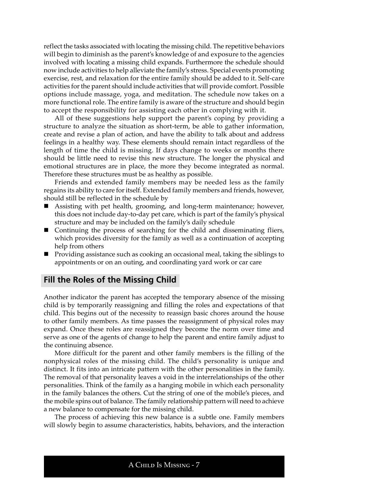reflect the tasks associated with locating the missing child. The repetitive behaviors will begin to diminish as the parent's knowledge of and exposure to the agencies involved with locating a missing child expands. Furthermore the schedule should now include activities to help alleviate the family's stress. Special events promoting exercise, rest, and relaxation for the entire family should be added to it. Self-care activities for the parent should include activities that will provide comfort. Possible options include massage, yoga, and meditation. The schedule now takes on a more functional role. The entire family is aware of the structure and should begin to accept the responsibility for assisting each other in complying with it.

All of these suggestions help support the parent's coping by providing a structure to analyze the situation as short-term, be able to gather information, create and revise a plan of action, and have the ability to talk about and address feelings in a healthy way. These elements should remain intact regardless of the length of time the child is missing. If days change to weeks or months there should be little need to revise this new structure. The longer the physical and emotional structures are in place, the more they become integrated as normal. Therefore these structures must be as healthy as possible.

Friends and extended family members may be needed less as the family regains its ability to care for itself. Extended family members and friends, however, should still be reflected in the schedule by

- Assisting with pet health, grooming, and long-term maintenance; however, this does not include day-to-day pet care, which is part of the family's physical structure and may be included on the family's daily schedule
- Continuing the process of searching for the child and disseminating fliers, which provides diversity for the family as well as a continuation of accepting help from others
- **Providing assistance such as cooking an occasional meal, taking the siblings to** appointments or on an outing, and coordinating yard work or car care

### **Fill the Roles of the Missing Child**

Another indicator the parent has accepted the temporary absence of the missing child is by temporarily reassigning and filling the roles and expectations of that child. This begins out of the necessity to reassign basic chores around the house to other family members. As time passes the reassignment of physical roles may expand. Once these roles are reassigned they become the norm over time and serve as one of the agents of change to help the parent and entire family adjust to the continuing absence.

More difficult for the parent and other family members is the filling of the nonphysical roles of the missing child. The child's personality is unique and distinct. It fits into an intricate pattern with the other personalities in the family. The removal of that personality leaves a void in the interrelationships of the other personalities. Think of the family as a hanging mobile in which each personality in the family balances the others. Cut the string of one of the mobile's pieces, and the mobile spins out of balance. The family relationship pattern will need to achieve a new balance to compensate for the missing child.

The process of achieving this new balance is a subtle one. Family members will slowly begin to assume characteristics, habits, behaviors, and the interaction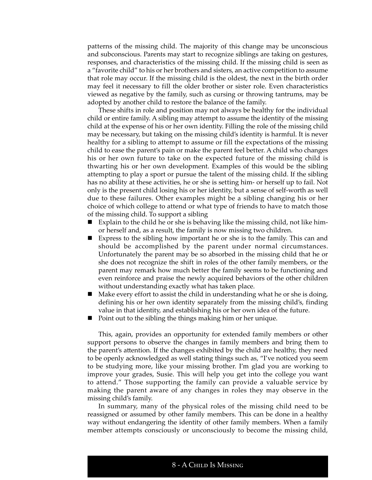patterns of the missing child. The majority of this change may be unconscious and subconscious. Parents may start to recognize siblings are taking on gestures, responses, and characteristics of the missing child. If the missing child is seen as a "favorite child" to his or her brothers and sisters, an active competition to assume that role may occur. If the missing child is the oldest, the next in the birth order may feel it necessary to fill the older brother or sister role. Even characteristics viewed as negative by the family, such as cursing or throwing tantrums, may be adopted by another child to restore the balance of the family.

These shifts in role and position may not always be healthy for the individual child or entire family. A sibling may attempt to assume the identity of the missing child at the expense of his or her own identity. Filling the role of the missing child may be necessary, but taking on the missing child's identity is harmful. It is never healthy for a sibling to attempt to assume or fill the expectations of the missing child to ease the parent's pain or make the parent feel better. A child who changes his or her own future to take on the expected future of the missing child is thwarting his or her own development. Examples of this would be the sibling attempting to play a sport or pursue the talent of the missing child. If the sibling has no ability at these activities, he or she is setting him- or herself up to fail. Not only is the present child losing his or her identity, but a sense of self-worth as well due to these failures. Other examples might be a sibling changing his or her choice of which college to attend or what type of friends to have to match those of the missing child. To support a sibling

- Explain to the child he or she is behaving like the missing child, not like himor herself and, as a result, the family is now missing two children.
- Express to the sibling how important he or she is to the family. This can and should be accomplished by the parent under normal circumstances. Unfortunately the parent may be so absorbed in the missing child that he or she does not recognize the shift in roles of the other family members, or the parent may remark how much better the family seems to be functioning and even reinforce and praise the newly acquired behaviors of the other children without understanding exactly what has taken place.
- Make every effort to assist the child in understanding what he or she is doing, defining his or her own identity separately from the missing child's, finding value in that identity, and establishing his or her own idea of the future.
- Point out to the sibling the things making him or her unique.

This, again, provides an opportunity for extended family members or other support persons to observe the changes in family members and bring them to the parent's attention. If the changes exhibited by the child are healthy, they need to be openly acknowledged as well stating things such as, "I've noticed you seem to be studying more, like your missing brother. I'm glad you are working to improve your grades, Susie. This will help you get into the college you want to attend." Those supporting the family can provide a valuable service by making the parent aware of any changes in roles they may observe in the missing child's family.

In summary, many of the physical roles of the missing child need to be reassigned or assumed by other family members. This can be done in a healthy way without endangering the identity of other family members. When a family member attempts consciously or unconsciously to become the missing child,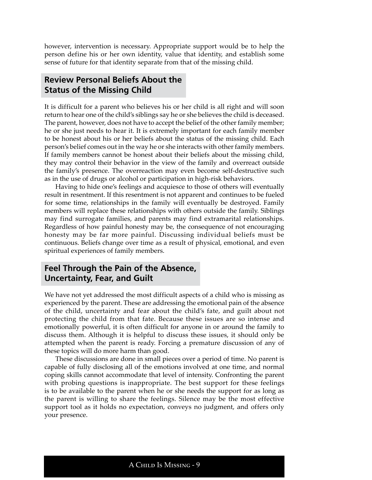however, intervention is necessary. Appropriate support would be to help the person define his or her own identity, value that identity, and establish some sense of future for that identity separate from that of the missing child.

# **Review Personal Beliefs About the Status of the Missing Child**

It is difficult for a parent who believes his or her child is all right and will soon return to hear one of the child's siblings say he or she believes the child is deceased. The parent, however, does not have to accept the belief of the other family member; he or she just needs to hear it. It is extremely important for each family member to be honest about his or her beliefs about the status of the missing child. Each person's belief comes out in the way he or she interacts with other family members. If family members cannot be honest about their beliefs about the missing child, they may control their behavior in the view of the family and overreact outside the family's presence. The overreaction may even become self-destructive such as in the use of drugs or alcohol or participation in high-risk behaviors.

Having to hide one's feelings and acquiesce to those of others will eventually result in resentment. If this resentment is not apparent and continues to be fueled for some time, relationships in the family will eventually be destroyed. Family members will replace these relationships with others outside the family. Siblings may find surrogate families, and parents may find extramarital relationships. Regardless of how painful honesty may be, the consequence of not encouraging honesty may be far more painful. Discussing individual beliefs must be continuous. Beliefs change over time as a result of physical, emotional, and even spiritual experiences of family members.

# **Feel Through the Pain of the Absence, Uncertainty, Fear, and Guilt**

We have not yet addressed the most difficult aspects of a child who is missing as experienced by the parent. These are addressing the emotional pain of the absence of the child, uncertainty and fear about the child's fate, and guilt about not protecting the child from that fate. Because these issues are so intense and emotionally powerful, it is often difficult for anyone in or around the family to discuss them. Although it is helpful to discuss these issues, it should only be attempted when the parent is ready. Forcing a premature discussion of any of these topics will do more harm than good.

These discussions are done in small pieces over a period of time. No parent is capable of fully disclosing all of the emotions involved at one time, and normal coping skills cannot accommodate that level of intensity. Confronting the parent with probing questions is inappropriate. The best support for these feelings is to be available to the parent when he or she needs the support for as long as the parent is willing to share the feelings. Silence may be the most effective support tool as it holds no expectation, conveys no judgment, and offers only your presence.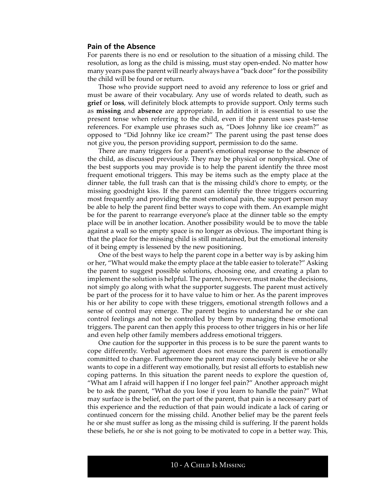#### **Pain of the Absence**

For parents there is no end or resolution to the situation of a missing child. The resolution, as long as the child is missing, must stay open-ended. No matter how many years pass the parent will nearly always have a "back door" for the possibility the child will be found or return.

Those who provide support need to avoid any reference to loss or grief and must be aware of their vocabulary. Any use of words related to death, such as **grief** or **loss**, will definitely block attempts to provide support. Only terms such as **missing** and **absence** are appropriate. In addition it is essential to use the present tense when referring to the child, even if the parent uses past-tense references. For example use phrases such as, "Does Johnny like ice cream?" as opposed to "Did Johnny like ice cream?" The parent using the past tense does not give you, the person providing support, permission to do the same.

There are many triggers for a parent's emotional response to the absence of the child, as discussed previously. They may be physical or nonphysical. One of the best supports you may provide is to help the parent identify the three most frequent emotional triggers. This may be items such as the empty place at the dinner table, the full trash can that is the missing child's chore to empty, or the missing goodnight kiss. If the parent can identify the three triggers occurring most frequently and providing the most emotional pain, the support person may be able to help the parent find better ways to cope with them. An example might be for the parent to rearrange everyone's place at the dinner table so the empty place will be in another location. Another possibility would be to move the table against a wall so the empty space is no longer as obvious. The important thing is that the place for the missing child is still maintained, but the emotional intensity of it being empty is lessened by the new positioning.

One of the best ways to help the parent cope in a better way is by asking him or her, "What would make the empty place at the table easier to tolerate?" Asking the parent to suggest possible solutions, choosing one, and creating a plan to implement the solution is helpful. The parent, however, must make the decisions, not simply go along with what the supporter suggests. The parent must actively be part of the process for it to have value to him or her. As the parent improves his or her ability to cope with these triggers, emotional strength follows and a sense of control may emerge. The parent begins to understand he or she can control feelings and not be controlled by them by managing these emotional triggers. The parent can then apply this process to other triggers in his or her life and even help other family members address emotional triggers.

One caution for the supporter in this process is to be sure the parent wants to cope differently. Verbal agreement does not ensure the parent is emotionally committed to change. Furthermore the parent may consciously believe he or she wants to cope in a different way emotionally, but resist all efforts to establish new coping patterns. In this situation the parent needs to explore the question of, "What am I afraid will happen if I no longer feel pain?" Another approach might be to ask the parent, "What do you lose if you learn to handle the pain?" What may surface is the belief, on the part of the parent, that pain is a necessary part of this experience and the reduction of that pain would indicate a lack of caring or continued concern for the missing child. Another belief may be the parent feels he or she must suffer as long as the missing child is suffering. If the parent holds these beliefs, he or she is not going to be motivated to cope in a better way. This,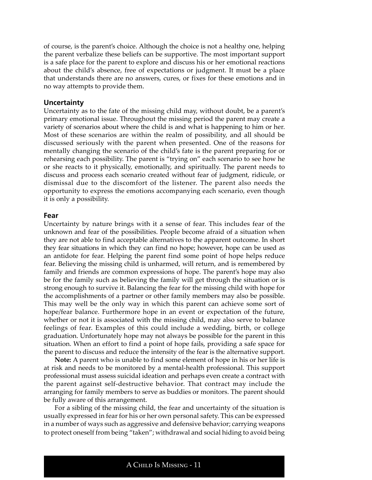of course, is the parent's choice. Although the choice is not a healthy one, helping the parent verbalize these beliefs can be supportive. The most important support is a safe place for the parent to explore and discuss his or her emotional reactions about the child's absence, free of expectations or judgment. It must be a place that understands there are no answers, cures, or fixes for these emotions and in no way attempts to provide them.

#### **Uncertainty**

Uncertainty as to the fate of the missing child may, without doubt, be a parent's primary emotional issue. Throughout the missing period the parent may create a variety of scenarios about where the child is and what is happening to him or her. Most of these scenarios are within the realm of possibility, and all should be discussed seriously with the parent when presented. One of the reasons for mentally changing the scenario of the child's fate is the parent preparing for or rehearsing each possibility. The parent is "trying on" each scenario to see how he or she reacts to it physically, emotionally, and spiritually. The parent needs to discuss and process each scenario created without fear of judgment, ridicule, or dismissal due to the discomfort of the listener. The parent also needs the opportunity to express the emotions accompanying each scenario, even though it is only a possibility.

#### **Fear**

Uncertainty by nature brings with it a sense of fear. This includes fear of the unknown and fear of the possibilities. People become afraid of a situation when they are not able to find acceptable alternatives to the apparent outcome. In short they fear situations in which they can find no hope; however, hope can be used as an antidote for fear. Helping the parent find some point of hope helps reduce fear. Believing the missing child is unharmed, will return, and is remembered by family and friends are common expressions of hope. The parent's hope may also be for the family such as believing the family will get through the situation or is strong enough to survive it. Balancing the fear for the missing child with hope for the accomplishments of a partner or other family members may also be possible. This may well be the only way in which this parent can achieve some sort of hope/fear balance. Furthermore hope in an event or expectation of the future, whether or not it is associated with the missing child, may also serve to balance feelings of fear. Examples of this could include a wedding, birth, or college graduation. Unfortunately hope may not always be possible for the parent in this situation. When an effort to find a point of hope fails, providing a safe space for the parent to discuss and reduce the intensity of the fear is the alternative support.

**Note:** A parent who is unable to find some element of hope in his or her life is at risk and needs to be monitored by a mental-health professional. This support professional must assess suicidal ideation and perhaps even create a contract with the parent against self-destructive behavior. That contract may include the arranging for family members to serve as buddies or monitors. The parent should be fully aware of this arrangement.

For a sibling of the missing child, the fear and uncertainty of the situation is usually expressed in fear for his or her own personal safety. This can be expressed in a number of ways such as aggressive and defensive behavior; carrying weapons to protect oneself from being "taken"; withdrawal and social hiding to avoid being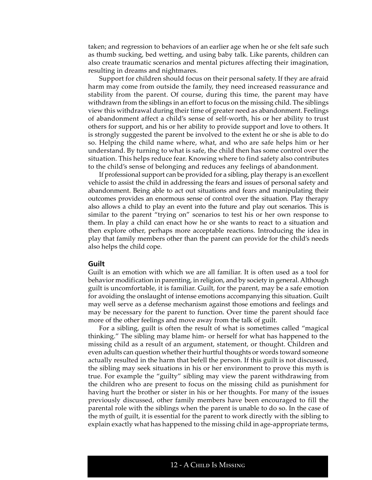taken; and regression to behaviors of an earlier age when he or she felt safe such as thumb sucking, bed wetting, and using baby talk. Like parents, children can also create traumatic scenarios and mental pictures affecting their imagination, resulting in dreams and nightmares.

Support for children should focus on their personal safety. If they are afraid harm may come from outside the family, they need increased reassurance and stability from the parent. Of course, during this time, the parent may have withdrawn from the siblings in an effort to focus on the missing child. The siblings view this withdrawal during their time of greater need as abandonment. Feelings of abandonment affect a child's sense of self-worth, his or her ability to trust others for support, and his or her ability to provide support and love to others. It is strongly suggested the parent be involved to the extent he or she is able to do so. Helping the child name where, what, and who are safe helps him or her understand. By turning to what is safe, the child then has some control over the situation. This helps reduce fear. Knowing where to find safety also contributes to the child's sense of belonging and reduces any feelings of abandonment.

If professional support can be provided for a sibling, play therapy is an excellent vehicle to assist the child in addressing the fears and issues of personal safety and abandonment. Being able to act out situations and fears and manipulating their outcomes provides an enormous sense of control over the situation. Play therapy also allows a child to play an event into the future and play out scenarios. This is similar to the parent "trying on" scenarios to test his or her own response to them. In play a child can enact how he or she wants to react to a situation and then explore other, perhaps more acceptable reactions. Introducing the idea in play that family members other than the parent can provide for the child's needs also helps the child cope.

#### **Guilt**

Guilt is an emotion with which we are all familiar. It is often used as a tool for behavior modification in parenting, in religion, and by society in general. Although guilt is uncomfortable, it is familiar. Guilt, for the parent, may be a safe emotion for avoiding the onslaught of intense emotions accompanying this situation. Guilt may well serve as a defense mechanism against those emotions and feelings and may be necessary for the parent to function. Over time the parent should face more of the other feelings and move away from the talk of guilt.

For a sibling, guilt is often the result of what is sometimes called "magical thinking." The sibling may blame him- or herself for what has happened to the missing child as a result of an argument, statement, or thought. Children and even adults can question whether their hurtful thoughts or words toward someone actually resulted in the harm that befell the person. If this guilt is not discussed, the sibling may seek situations in his or her environment to prove this myth is true. For example the "guilty" sibling may view the parent withdrawing from the children who are present to focus on the missing child as punishment for having hurt the brother or sister in his or her thoughts. For many of the issues previously discussed, other family members have been encouraged to fill the parental role with the siblings when the parent is unable to do so. In the case of the myth of guilt, it is essential for the parent to work directly with the sibling to explain exactly what has happened to the missing child in age-appropriate terms,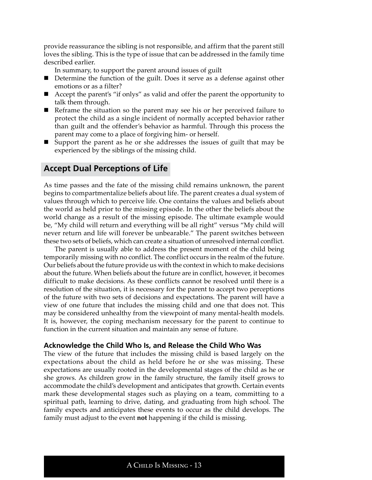provide reassurance the sibling is not responsible, and affirm that the parent still loves the sibling. This is the type of issue that can be addressed in the family time described earlier.

In summary, to support the parent around issues of guilt

- Determine the function of the guilt. Does it serve as a defense against other emotions or as a filter?
- Accept the parent's "if onlys" as valid and offer the parent the opportunity to talk them through.
- Reframe the situation so the parent may see his or her perceived failure to protect the child as a single incident of normally accepted behavior rather than guilt and the offender's behavior as harmful. Through this process the parent may come to a place of forgiving him- or herself.
- Support the parent as he or she addresses the issues of guilt that may be experienced by the siblings of the missing child.

# **Accept Dual Perceptions of Life**

As time passes and the fate of the missing child remains unknown, the parent begins to compartmentalize beliefs about life. The parent creates a dual system of values through which to perceive life. One contains the values and beliefs about the world as held prior to the missing episode. In the other the beliefs about the world change as a result of the missing episode. The ultimate example would be, "My child will return and everything will be all right" versus "My child will never return and life will forever be unbearable." The parent switches between these two sets of beliefs, which can create a situation of unresolved internal conflict.

The parent is usually able to address the present moment of the child being temporarily missing with no conflict. The conflict occurs in the realm of the future. Our beliefs about the future provide us with the context in which to make decisions about the future. When beliefs about the future are in conflict, however, it becomes difficult to make decisions. As these conflicts cannot be resolved until there is a resolution of the situation, it is necessary for the parent to accept two perceptions of the future with two sets of decisions and expectations. The parent will have a view of one future that includes the missing child and one that does not. This may be considered unhealthy from the viewpoint of many mental-health models. It is, however, the coping mechanism necessary for the parent to continue to function in the current situation and maintain any sense of future.

#### **Acknowledge the Child Who Is, and Release the Child Who Was**

The view of the future that includes the missing child is based largely on the expectations about the child as held before he or she was missing. These expectations are usually rooted in the developmental stages of the child as he or she grows. As children grow in the family structure, the family itself grows to accommodate the child's development and anticipates that growth. Certain events mark these developmental stages such as playing on a team, committing to a spiritual path, learning to drive, dating, and graduating from high school. The family expects and anticipates these events to occur as the child develops. The family must adjust to the event **not** happening if the child is missing.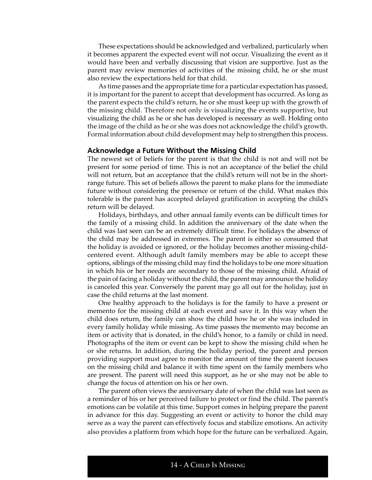These expectations should be acknowledged and verbalized, particularly when it becomes apparent the expected event will not occur. Visualizing the event as it would have been and verbally discussing that vision are supportive. Just as the parent may review memories of activities of the missing child, he or she must also review the expectations held for that child.

As time passes and the appropriate time for a particular expectation has passed, it is important for the parent to accept that development has occurred. As long as the parent expects the child's return, he or she must keep up with the growth of the missing child. Therefore not only is visualizing the events supportive, but visualizing the child as he or she has developed is necessary as well. Holding onto the image of the child as he or she was does not acknowledge the child's growth. Formal information about child development may help to strengthen this process.

#### **Acknowledge a Future Without the Missing Child**

The newest set of beliefs for the parent is that the child is not and will not be present for some period of time. This is not an acceptance of the belief the child will not return, but an acceptance that the child's return will not be in the shortrange future. This set of beliefs allows the parent to make plans for the immediate future without considering the presence or return of the child. What makes this tolerable is the parent has accepted delayed gratification in accepting the child's return will be delayed.

Holidays, birthdays, and other annual family events can be difficult times for the family of a missing child. In addition the anniversary of the date when the child was last seen can be an extremely difficult time. For holidays the absence of the child may be addressed in extremes. The parent is either so consumed that the holiday is avoided or ignored, or the holiday becomes another missing-childcentered event. Although adult family members may be able to accept these options, siblings of the missing child may find the holidays to be one more situation in which his or her needs are secondary to those of the missing child. Afraid of the pain of facing a holiday without the child, the parent may announce the holiday is canceled this year. Conversely the parent may go all out for the holiday, just in case the child returns at the last moment.

One healthy approach to the holidays is for the family to have a present or memento for the missing child at each event and save it. In this way when the child does return, the family can show the child how he or she was included in every family holiday while missing. As time passes the memento may become an item or activity that is donated, in the child's honor, to a family or child in need. Photographs of the item or event can be kept to show the missing child when he or she returns. In addition, during the holiday period, the parent and person providing support must agree to monitor the amount of time the parent focuses on the missing child and balance it with time spent on the family members who are present. The parent will need this support, as he or she may not be able to change the focus of attention on his or her own.

The parent often views the anniversary date of when the child was last seen as a reminder of his or her perceived failure to protect or find the child. The parent's emotions can be volatile at this time. Support comes in helping prepare the parent in advance for this day. Suggesting an event or activity to honor the child may serve as a way the parent can effectively focus and stabilize emotions. An activity also provides a platform from which hope for the future can be verbalized. Again,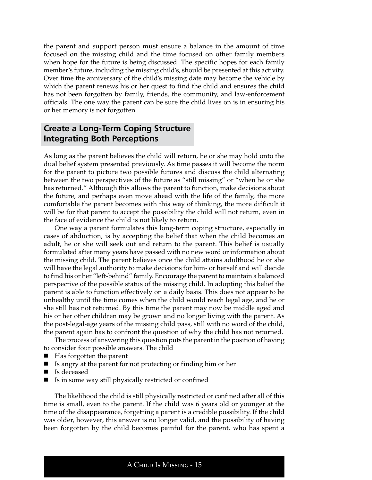the parent and support person must ensure a balance in the amount of time focused on the missing child and the time focused on other family members when hope for the future is being discussed. The specific hopes for each family member's future, including the missing child's, should be presented at this activity. Over time the anniversary of the child's missing date may become the vehicle by which the parent renews his or her quest to find the child and ensures the child has not been forgotten by family, friends, the community, and law-enforcement officials. The one way the parent can be sure the child lives on is in ensuring his or her memory is not forgotten.

# **Create a Long-Term Coping Structure Integrating Both Perceptions**

As long as the parent believes the child will return, he or she may hold onto the dual belief system presented previously. As time passes it will become the norm for the parent to picture two possible futures and discuss the child alternating between the two perspectives of the future as "still missing" or "when he or she has returned." Although this allows the parent to function, make decisions about the future, and perhaps even move ahead with the life of the family, the more comfortable the parent becomes with this way of thinking, the more difficult it will be for that parent to accept the possibility the child will not return, even in the face of evidence the child is not likely to return.

One way a parent formulates this long-term coping structure, especially in cases of abduction, is by accepting the belief that when the child becomes an adult, he or she will seek out and return to the parent. This belief is usually formulated after many years have passed with no new word or information about the missing child. The parent believes once the child attains adulthood he or she will have the legal authority to make decisions for him- or herself and will decide to find his or her "left-behind" family. Encourage the parent to maintain a balanced perspective of the possible status of the missing child. In adopting this belief the parent is able to function effectively on a daily basis. This does not appear to be unhealthy until the time comes when the child would reach legal age, and he or she still has not returned. By this time the parent may now be middle aged and his or her other children may be grown and no longer living with the parent. As the post-legal-age years of the missing child pass, still with no word of the child, the parent again has to confront the question of why the child has not returned.

The process of answering this question puts the parent in the position of having to consider four possible answers. The child

- Has forgotten the parent
- Is angry at the parent for not protecting or finding him or her
- Is deceased
- $\blacksquare$  Is in some way still physically restricted or confined

The likelihood the child is still physically restricted or confined after all of this time is small, even to the parent. If the child was 6 years old or younger at the time of the disappearance, forgetting a parent is a credible possibility. If the child was older, however, this answer is no longer valid, and the possibility of having been forgotten by the child becomes painful for the parent, who has spent a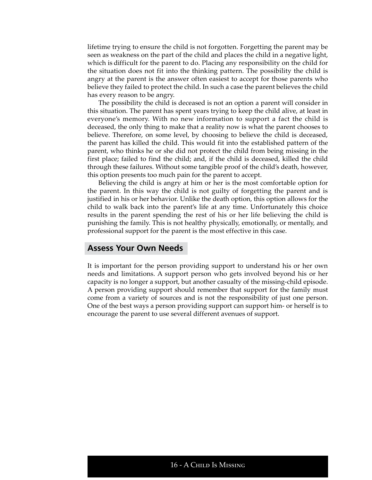lifetime trying to ensure the child is not forgotten. Forgetting the parent may be seen as weakness on the part of the child and places the child in a negative light, which is difficult for the parent to do. Placing any responsibility on the child for the situation does not fit into the thinking pattern. The possibility the child is angry at the parent is the answer often easiest to accept for those parents who believe they failed to protect the child. In such a case the parent believes the child has every reason to be angry.

The possibility the child is deceased is not an option a parent will consider in this situation. The parent has spent years trying to keep the child alive, at least in everyone's memory. With no new information to support a fact the child is deceased, the only thing to make that a reality now is what the parent chooses to believe. Therefore, on some level, by choosing to believe the child is deceased, the parent has killed the child. This would fit into the established pattern of the parent, who thinks he or she did not protect the child from being missing in the first place; failed to find the child; and, if the child is deceased, killed the child through these failures. Without some tangible proof of the child's death, however, this option presents too much pain for the parent to accept.

Believing the child is angry at him or her is the most comfortable option for the parent. In this way the child is not guilty of forgetting the parent and is justified in his or her behavior. Unlike the death option, this option allows for the child to walk back into the parent's life at any time. Unfortunately this choice results in the parent spending the rest of his or her life believing the child is punishing the family. This is not healthy physically, emotionally, or mentally, and professional support for the parent is the most effective in this case.

#### **Assess Your Own Needs**

It is important for the person providing support to understand his or her own needs and limitations. A support person who gets involved beyond his or her capacity is no longer a support, but another casualty of the missing-child episode. A person providing support should remember that support for the family must come from a variety of sources and is not the responsibility of just one person. One of the best ways a person providing support can support him- or herself is to encourage the parent to use several different avenues of support.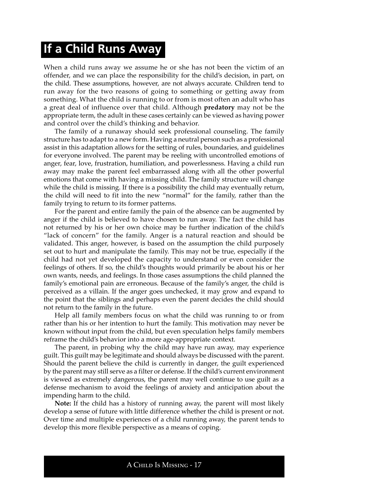# **If a Child Runs Away**

When a child runs away we assume he or she has not been the victim of an offender, and we can place the responsibility for the child's decision, in part, on the child. These assumptions, however, are not always accurate. Children tend to run away for the two reasons of going to something or getting away from something. What the child is running to or from is most often an adult who has a great deal of influence over that child. Although **predatory** may not be the appropriate term, the adult in these cases certainly can be viewed as having power and control over the child's thinking and behavior.

The family of a runaway should seek professional counseling. The family structure has to adapt to a new form. Having a neutral person such as a professional assist in this adaptation allows for the setting of rules, boundaries, and guidelines for everyone involved. The parent may be reeling with uncontrolled emotions of anger, fear, love, frustration, humiliation, and powerlessness. Having a child run away may make the parent feel embarrassed along with all the other powerful emotions that come with having a missing child. The family structure will change while the child is missing. If there is a possibility the child may eventually return, the child will need to fit into the new "normal" for the family, rather than the family trying to return to its former patterns.

For the parent and entire family the pain of the absence can be augmented by anger if the child is believed to have chosen to run away. The fact the child has not returned by his or her own choice may be further indication of the child's "lack of concern" for the family. Anger is a natural reaction and should be validated. This anger, however, is based on the assumption the child purposely set out to hurt and manipulate the family. This may not be true, especially if the child had not yet developed the capacity to understand or even consider the feelings of others. If so, the child's thoughts would primarily be about his or her own wants, needs, and feelings. In those cases assumptions the child planned the family's emotional pain are erroneous. Because of the family's anger, the child is perceived as a villain. If the anger goes unchecked, it may grow and expand to the point that the siblings and perhaps even the parent decides the child should not return to the family in the future.

Help all family members focus on what the child was running to or from rather than his or her intention to hurt the family. This motivation may never be known without input from the child, but even speculation helps family members reframe the child's behavior into a more age-appropriate context.

The parent, in probing why the child may have run away, may experience guilt. This guilt may be legitimate and should always be discussed with the parent. Should the parent believe the child is currently in danger, the guilt experienced by the parent may still serve as a filter or defense. If the child's current environment is viewed as extremely dangerous, the parent may well continue to use guilt as a defense mechanism to avoid the feelings of anxiety and anticipation about the impending harm to the child.

**Note:** If the child has a history of running away, the parent will most likely develop a sense of future with little difference whether the child is present or not. Over time and multiple experiences of a child running away, the parent tends to develop this more flexible perspective as a means of coping.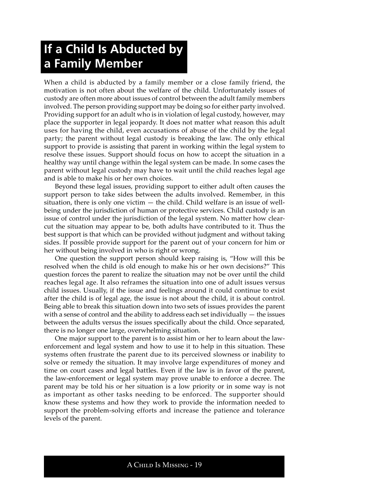# **If a Child Is Abducted by a Family Member**

When a child is abducted by a family member or a close family friend, the motivation is not often about the welfare of the child. Unfortunately issues of custody are often more about issues of control between the adult family members involved. The person providing support may be doing so for either party involved. Providing support for an adult who is in violation of legal custody, however, may place the supporter in legal jeopardy. It does not matter what reason this adult uses for having the child, even accusations of abuse of the child by the legal party; the parent without legal custody is breaking the law. The only ethical support to provide is assisting that parent in working within the legal system to resolve these issues. Support should focus on how to accept the situation in a healthy way until change within the legal system can be made. In some cases the parent without legal custody may have to wait until the child reaches legal age and is able to make his or her own choices.

Beyond these legal issues, providing support to either adult often causes the support person to take sides between the adults involved. Remember, in this situation, there is only one victim  $-$  the child. Child welfare is an issue of wellbeing under the jurisdiction of human or protective services. Child custody is an issue of control under the jurisdiction of the legal system. No matter how clearcut the situation may appear to be, both adults have contributed to it. Thus the best support is that which can be provided without judgment and without taking sides. If possible provide support for the parent out of your concern for him or her without being involved in who is right or wrong.

One question the support person should keep raising is, "How will this be resolved when the child is old enough to make his or her own decisions?" This question forces the parent to realize the situation may not be over until the child reaches legal age. It also reframes the situation into one of adult issues versus child issues. Usually, if the issue and feelings around it could continue to exist after the child is of legal age, the issue is not about the child, it is about control. Being able to break this situation down into two sets of issues provides the parent with a sense of control and the ability to address each set individually  $-$  the issues between the adults versus the issues specifically about the child. Once separated, there is no longer one large, overwhelming situation.

One major support to the parent is to assist him or her to learn about the lawenforcement and legal system and how to use it to help in this situation. These systems often frustrate the parent due to its perceived slowness or inability to solve or remedy the situation. It may involve large expenditures of money and time on court cases and legal battles. Even if the law is in favor of the parent, the law-enforcement or legal system may prove unable to enforce a decree. The parent may be told his or her situation is a low priority or in some way is not as important as other tasks needing to be enforced. The supporter should know these systems and how they work to provide the information needed to support the problem-solving efforts and increase the patience and tolerance levels of the parent.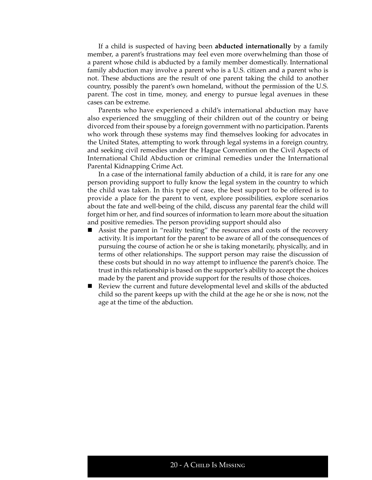If a child is suspected of having been **abducted internationally** by a family member, a parent's frustrations may feel even more overwhelming than those of a parent whose child is abducted by a family member domestically. International family abduction may involve a parent who is a U.S. citizen and a parent who is not. These abductions are the result of one parent taking the child to another country, possibly the parent's own homeland, without the permission of the U.S. parent. The cost in time, money, and energy to pursue legal avenues in these cases can be extreme.

Parents who have experienced a child's international abduction may have also experienced the smuggling of their children out of the country or being divorced from their spouse by a foreign government with no participation. Parents who work through these systems may find themselves looking for advocates in the United States, attempting to work through legal systems in a foreign country, and seeking civil remedies under the Hague Convention on the Civil Aspects of International Child Abduction or criminal remedies under the International Parental Kidnapping Crime Act.

In a case of the international family abduction of a child, it is rare for any one person providing support to fully know the legal system in the country to which the child was taken. In this type of case, the best support to be offered is to provide a place for the parent to vent, explore possibilities, explore scenarios about the fate and well-being of the child, discuss any parental fear the child will forget him or her, and find sources of information to learn more about the situation and positive remedies. The person providing support should also

- Assist the parent in "reality testing" the resources and costs of the recovery activity. It is important for the parent to be aware of all of the consequences of pursuing the course of action he or she is taking monetarily, physically, and in terms of other relationships. The support person may raise the discussion of these costs but should in no way attempt to influence the parent's choice. The trust in this relationship is based on the supporter's ability to accept the choices made by the parent and provide support for the results of those choices.
- Review the current and future developmental level and skills of the abducted child so the parent keeps up with the child at the age he or she is now, not the age at the time of the abduction.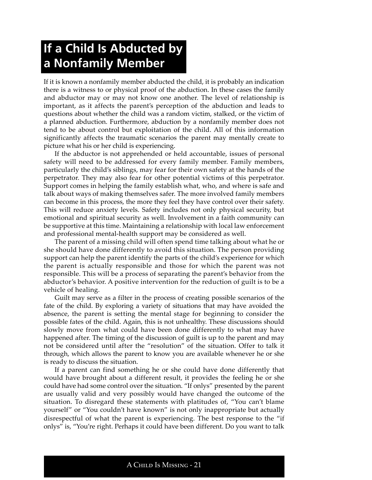# **If a Child Is Abducted by a Nonfamily Member**

If it is known a nonfamily member abducted the child, it is probably an indication there is a witness to or physical proof of the abduction. In these cases the family and abductor may or may not know one another. The level of relationship is important, as it affects the parent's perception of the abduction and leads to questions about whether the child was a random victim, stalked, or the victim of a planned abduction. Furthermore, abduction by a nonfamily member does not tend to be about control but exploitation of the child. All of this information significantly affects the traumatic scenarios the parent may mentally create to picture what his or her child is experiencing.

If the abductor is not apprehended or held accountable, issues of personal safety will need to be addressed for every family member. Family members, particularly the child's siblings, may fear for their own safety at the hands of the perpetrator. They may also fear for other potential victims of this perpetrator. Support comes in helping the family establish what, who, and where is safe and talk about ways of making themselves safer. The more involved family members can become in this process, the more they feel they have control over their safety. This will reduce anxiety levels. Safety includes not only physical security, but emotional and spiritual security as well. Involvement in a faith community can be supportive at this time. Maintaining a relationship with local law enforcement and professional mental-health support may be considered as well.

The parent of a missing child will often spend time talking about what he or she should have done differently to avoid this situation. The person providing support can help the parent identify the parts of the child's experience for which the parent is actually responsible and those for which the parent was not responsible. This will be a process of separating the parent's behavior from the abductor's behavior. A positive intervention for the reduction of guilt is to be a vehicle of healing.

Guilt may serve as a filter in the process of creating possible scenarios of the fate of the child. By exploring a variety of situations that may have avoided the absence, the parent is setting the mental stage for beginning to consider the possible fates of the child. Again, this is not unhealthy. These discussions should slowly move from what could have been done differently to what may have happened after. The timing of the discussion of guilt is up to the parent and may not be considered until after the "resolution" of the situation. Offer to talk it through, which allows the parent to know you are available whenever he or she is ready to discuss the situation.

If a parent can find something he or she could have done differently that would have brought about a different result, it provides the feeling he or she could have had some control over the situation. "If onlys" presented by the parent are usually valid and very possibly would have changed the outcome of the situation. To disregard these statements with platitudes of, "You can't blame yourself" or "You couldn't have known" is not only inappropriate but actually disrespectful of what the parent is experiencing. The best response to the "if onlys" is, "You're right. Perhaps it could have been different. Do you want to talk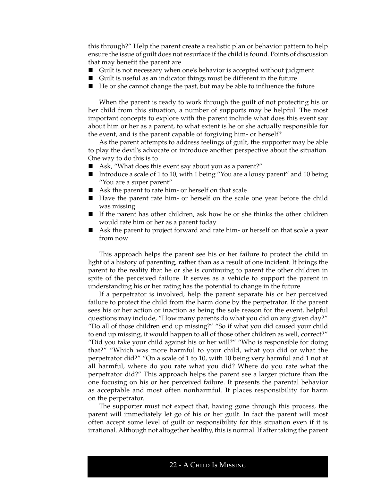this through?" Help the parent create a realistic plan or behavior pattern to help ensure the issue of guilt does not resurface if the child is found. Points of discussion that may benefit the parent are

- Guilt is not necessary when one's behavior is accepted without judgment
- Guilt is useful as an indicator things must be different in the future
- He or she cannot change the past, but may be able to influence the future

When the parent is ready to work through the guilt of not protecting his or her child from this situation, a number of supports may be helpful. The most important concepts to explore with the parent include what does this event say about him or her as a parent, to what extent is he or she actually responsible for the event, and is the parent capable of forgiving him- or herself?

As the parent attempts to address feelings of guilt, the supporter may be able to play the devil's advocate or introduce another perspective about the situation. One way to do this is to

- Ask, "What does this event say about you as a parent?"
- Introduce a scale of 1 to 10, with 1 being "You are a lousy parent" and 10 being "You are a super parent"
- Ask the parent to rate him- or herself on that scale
- Have the parent rate him- or herself on the scale one year before the child was missing
- If the parent has other children, ask how he or she thinks the other children would rate him or her as a parent today
- Ask the parent to project forward and rate him- or herself on that scale a year from now

This approach helps the parent see his or her failure to protect the child in light of a history of parenting, rather than as a result of one incident. It brings the parent to the reality that he or she is continuing to parent the other children in spite of the perceived failure. It serves as a vehicle to support the parent in understanding his or her rating has the potential to change in the future.

If a perpetrator is involved, help the parent separate his or her perceived failure to protect the child from the harm done by the perpetrator. If the parent sees his or her action or inaction as being the sole reason for the event, helpful questions may include, "How many parents do what you did on any given day?" "Do all of those children end up missing?" "So if what you did caused your child to end up missing, it would happen to all of those other children as well, correct?" "Did you take your child against his or her will?" "Who is responsible for doing that?" "Which was more harmful to your child, what you did or what the perpetrator did?" "On a scale of 1 to 10, with 10 being very harmful and 1 not at all harmful, where do you rate what you did? Where do you rate what the perpetrator did?" This approach helps the parent see a larger picture than the one focusing on his or her perceived failure. It presents the parental behavior as acceptable and most often nonharmful. It places responsibility for harm on the perpetrator.

The supporter must not expect that, having gone through this process, the parent will immediately let go of his or her guilt. In fact the parent will most often accept some level of guilt or responsibility for this situation even if it is irrational. Although not altogether healthy, this is normal. If after taking the parent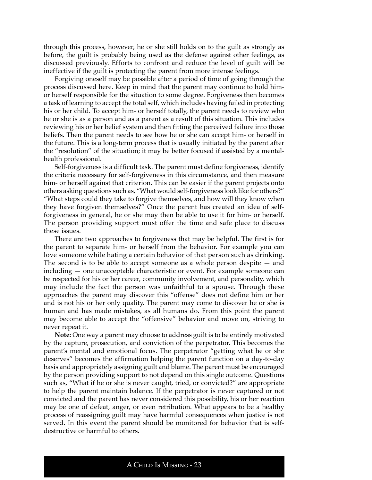through this process, however, he or she still holds on to the guilt as strongly as before, the guilt is probably being used as the defense against other feelings, as discussed previously. Efforts to confront and reduce the level of guilt will be ineffective if the guilt is protecting the parent from more intense feelings.

Forgiving oneself may be possible after a period of time of going through the process discussed here. Keep in mind that the parent may continue to hold himor herself responsible for the situation to some degree. Forgiveness then becomes a task of learning to accept the total self, which includes having failed in protecting his or her child. To accept him- or herself totally, the parent needs to review who he or she is as a person and as a parent as a result of this situation. This includes reviewing his or her belief system and then fitting the perceived failure into those beliefs. Then the parent needs to see how he or she can accept him- or herself in the future. This is a long-term process that is usually initiated by the parent after the "resolution" of the situation; it may be better focused if assisted by a mentalhealth professional.

Self-forgiveness is a difficult task. The parent must define forgiveness, identify the criteria necessary for self-forgiveness in this circumstance, and then measure him- or herself against that criterion. This can be easier if the parent projects onto others asking questions such as, "What would self-forgiveness look like for others?" "What steps could they take to forgive themselves, and how will they know when they have forgiven themselves?" Once the parent has created an idea of selfforgiveness in general, he or she may then be able to use it for him- or herself. The person providing support must offer the time and safe place to discuss these issues.

There are two approaches to forgiveness that may be helpful. The first is for the parent to separate him- or herself from the behavior. For example you can love someone while hating a certain behavior of that person such as drinking. The second is to be able to accept someone as a whole person despite — and including — one unacceptable characteristic or event. For example someone can be respected for his or her career, community involvement, and personality, which may include the fact the person was unfaithful to a spouse. Through these approaches the parent may discover this "offense" does not define him or her and is not his or her only quality. The parent may come to discover he or she is human and has made mistakes, as all humans do. From this point the parent may become able to accept the "offensive" behavior and move on, striving to never repeat it.

**Note:** One way a parent may choose to address guilt is to be entirely motivated by the capture, prosecution, and conviction of the perpetrator. This becomes the parent's mental and emotional focus. The perpetrator "getting what he or she deserves" becomes the affirmation helping the parent function on a day-to-day basis and appropriately assigning guilt and blame. The parent must be encouraged by the person providing support to not depend on this single outcome. Questions such as, "What if he or she is never caught, tried, or convicted?" are appropriate to help the parent maintain balance. If the perpetrator is never captured or not convicted and the parent has never considered this possibility, his or her reaction may be one of defeat, anger, or even retribution. What appears to be a healthy process of reassigning guilt may have harmful consequences when justice is not served. In this event the parent should be monitored for behavior that is selfdestructive or harmful to others.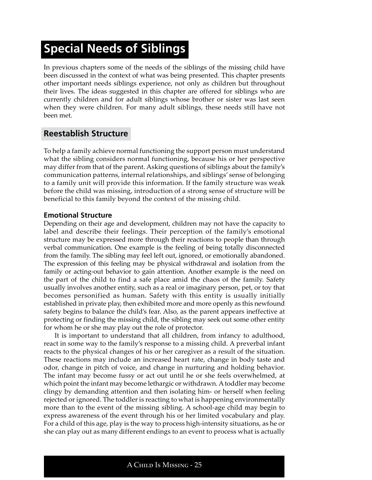# **Special Needs of Siblings**

In previous chapters some of the needs of the siblings of the missing child have been discussed in the context of what was being presented. This chapter presents other important needs siblings experience, not only as children but throughout their lives. The ideas suggested in this chapter are offered for siblings who are currently children and for adult siblings whose brother or sister was last seen when they were children. For many adult siblings, these needs still have not been met.

### **Reestablish Structure**

To help a family achieve normal functioning the support person must understand what the sibling considers normal functioning, because his or her perspective may differ from that of the parent. Asking questions of siblings about the family's communication patterns, internal relationships, and siblings' sense of belonging to a family unit will provide this information. If the family structure was weak before the child was missing, introduction of a strong sense of structure will be beneficial to this family beyond the context of the missing child.

#### **Emotional Structure**

Depending on their age and development, children may not have the capacity to label and describe their feelings. Their perception of the family's emotional structure may be expressed more through their reactions to people than through verbal communication. One example is the feeling of being totally disconnected from the family. The sibling may feel left out, ignored, or emotionally abandoned. The expression of this feeling may be physical withdrawal and isolation from the family or acting-out behavior to gain attention. Another example is the need on the part of the child to find a safe place amid the chaos of the family. Safety usually involves another entity, such as a real or imaginary person, pet, or toy that becomes personified as human. Safety with this entity is usually initially established in private play, then exhibited more and more openly as this newfound safety begins to balance the child's fear. Also, as the parent appears ineffective at protecting or finding the missing child, the sibling may seek out some other entity for whom he or she may play out the role of protector.

It is important to understand that all children, from infancy to adulthood, react in some way to the family's response to a missing child. A preverbal infant reacts to the physical changes of his or her caregiver as a result of the situation. These reactions may include an increased heart rate, change in body taste and odor, change in pitch of voice, and change in nurturing and holding behavior. The infant may become fussy or act out until he or she feels overwhelmed, at which point the infant may become lethargic or withdrawn. A toddler may become clingy by demanding attention and then isolating him- or herself when feeling rejected or ignored. The toddler is reacting to what is happening environmentally more than to the event of the missing sibling. A school-age child may begin to express awareness of the event through his or her limited vocabulary and play. For a child of this age, play is the way to process high-intensity situations, as he or she can play out as many different endings to an event to process what is actually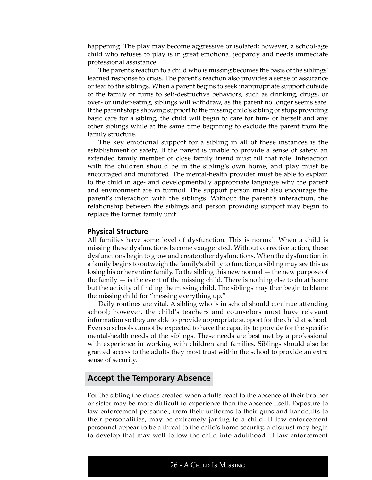happening. The play may become aggressive or isolated; however, a school-age child who refuses to play is in great emotional jeopardy and needs immediate professional assistance.

The parent's reaction to a child who is missing becomes the basis of the siblings' learned response to crisis. The parent's reaction also provides a sense of assurance or fear to the siblings. When a parent begins to seek inappropriate support outside of the family or turns to self-destructive behaviors, such as drinking, drugs, or over- or under-eating, siblings will withdraw, as the parent no longer seems safe. If the parent stops showing support to the missing child's sibling or stops providing basic care for a sibling, the child will begin to care for him- or herself and any other siblings while at the same time beginning to exclude the parent from the family structure.

The key emotional support for a sibling in all of these instances is the establishment of safety. If the parent is unable to provide a sense of safety, an extended family member or close family friend must fill that role. Interaction with the children should be in the sibling's own home, and play must be encouraged and monitored. The mental-health provider must be able to explain to the child in age- and developmentally appropriate language why the parent and environment are in turmoil. The support person must also encourage the parent's interaction with the siblings. Without the parent's interaction, the relationship between the siblings and person providing support may begin to replace the former family unit.

#### **Physical Structure**

All families have some level of dysfunction. This is normal. When a child is missing these dysfunctions become exaggerated. Without corrective action, these dysfunctions begin to grow and create other dysfunctions. When the dysfunction in a family begins to outweigh the family's ability to function, a sibling may see this as losing his or her entire family. To the sibling this new normal — the new purpose of the family  $-$  is the event of the missing child. There is nothing else to do at home but the activity of finding the missing child. The siblings may then begin to blame the missing child for "messing everything up."

Daily routines are vital. A sibling who is in school should continue attending school; however, the child's teachers and counselors must have relevant information so they are able to provide appropriate support for the child at school. Even so schools cannot be expected to have the capacity to provide for the specific mental-health needs of the siblings. These needs are best met by a professional with experience in working with children and families. Siblings should also be granted access to the adults they most trust within the school to provide an extra sense of security.

### **Accept the Temporary Absence**

For the sibling the chaos created when adults react to the absence of their brother or sister may be more difficult to experience than the absence itself. Exposure to law-enforcement personnel, from their uniforms to their guns and handcuffs to their personalities, may be extremely jarring to a child. If law-enforcement personnel appear to be a threat to the child's home security, a distrust may begin to develop that may well follow the child into adulthood. If law-enforcement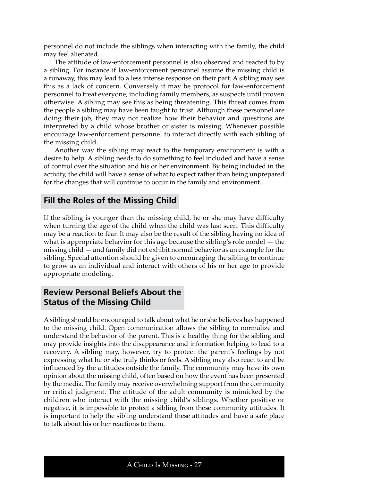personnel do not include the siblings when interacting with the family, the child may feel alienated.

The attitude of law-enforcement personnel is also observed and reacted to by a sibling. For instance if law-enforcement personnel assume the missing child is a runaway, this may lead to a less intense response on their part. A sibling may see this as a lack of concern. Conversely it may be protocol for law-enforcement personnel to treat everyone, including family members, as suspects until proven otherwise. A sibling may see this as being threatening. This threat comes from the people a sibling may have been taught to trust. Although these personnel are doing their job, they may not realize how their behavior and questions are interpreted by a child whose brother or sister is missing. Whenever possible encourage law-enforcement personnel to interact directly with each sibling of the missing child.

Another way the sibling may react to the temporary environment is with a desire to help. A sibling needs to do something to feel included and have a sense of control over the situation and his or her environment. By being included in the activity, the child will have a sense of what to expect rather than being unprepared for the changes that will continue to occur in the family and environment.

# **Fill the Roles of the Missing Child**

If the sibling is younger than the missing child, he or she may have difficulty when turning the age of the child when the child was last seen. This difficulty may be a reaction to fear. It may also be the result of the sibling having no idea of what is appropriate behavior for this age because the sibling's role model — the missing child — and family did not exhibit normal behavior as an example for the sibling. Special attention should be given to encouraging the sibling to continue to grow as an individual and interact with others of his or her age to provide appropriate modeling.

# **Review Personal Beliefs About the Status of the Missing Child**

A sibling should be encouraged to talk about what he or she believes has happened to the missing child. Open communication allows the sibling to normalize and understand the behavior of the parent. This is a healthy thing for the sibling and may provide insights into the disappearance and information helping to lead to a recovery. A sibling may, however, try to protect the parent's feelings by not expressing what he or she truly thinks or feels. A sibling may also react to and be influenced by the attitudes outside the family. The community may have its own opinion about the missing child, often based on how the event has been presented by the media. The family may receive overwhelming support from the community or critical judgment. The attitude of the adult community is mimicked by the children who interact with the missing child's siblings. Whether positive or negative, it is impossible to protect a sibling from these community attitudes. It is important to help the sibling understand these attitudes and have a safe place to talk about his or her reactions to them.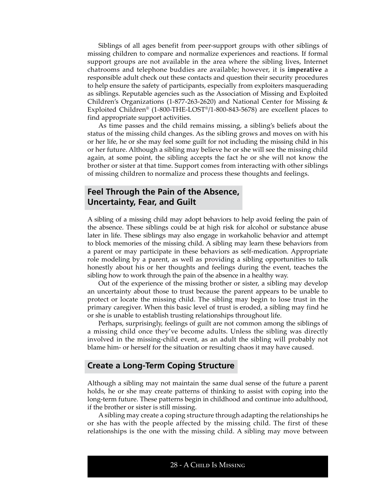Siblings of all ages benefit from peer-support groups with other siblings of missing children to compare and normalize experiences and reactions. If formal support groups are not available in the area where the sibling lives, Internet chatrooms and telephone buddies are available; however, it is **imperative** a responsible adult check out these contacts and question their security procedures to help ensure the safety of participants, especially from exploiters masquerading as siblings. Reputable agencies such as the Association of Missing and Exploited Children's Organizations (1-877-263-2620) and National Center for Missing & Exploited Children® (1-800-THE-LOST®/1-800-843-5678) are excellent places to find appropriate support activities.

As time passes and the child remains missing, a sibling's beliefs about the status of the missing child changes. As the sibling grows and moves on with his or her life, he or she may feel some guilt for not including the missing child in his or her future. Although a sibling may believe he or she will see the missing child again, at some point, the sibling accepts the fact he or she will not know the brother or sister at that time. Support comes from interacting with other siblings of missing children to normalize and process these thoughts and feelings.

# **Feel Through the Pain of the Absence, Uncertainty, Fear, and Guilt**

A sibling of a missing child may adopt behaviors to help avoid feeling the pain of the absence. These siblings could be at high risk for alcohol or substance abuse later in life. These siblings may also engage in workaholic behavior and attempt to block memories of the missing child. A sibling may learn these behaviors from a parent or may participate in these behaviors as self-medication. Appropriate role modeling by a parent, as well as providing a sibling opportunities to talk honestly about his or her thoughts and feelings during the event, teaches the sibling how to work through the pain of the absence in a healthy way.

Out of the experience of the missing brother or sister, a sibling may develop an uncertainty about those to trust because the parent appears to be unable to protect or locate the missing child. The sibling may begin to lose trust in the primary caregiver. When this basic level of trust is eroded, a sibling may find he or she is unable to establish trusting relationships throughout life.

Perhaps, surprisingly, feelings of guilt are not common among the siblings of a missing child once they've become adults. Unless the sibling was directly involved in the missing-child event, as an adult the sibling will probably not blame him- or herself for the situation or resulting chaos it may have caused.

### **Create a Long-Term Coping Structure**

Although a sibling may not maintain the same dual sense of the future a parent holds, he or she may create patterns of thinking to assist with coping into the long-term future. These patterns begin in childhood and continue into adulthood, if the brother or sister is still missing.

A sibling may create a coping structure through adapting the relationships he or she has with the people affected by the missing child. The first of these relationships is the one with the missing child. A sibling may move between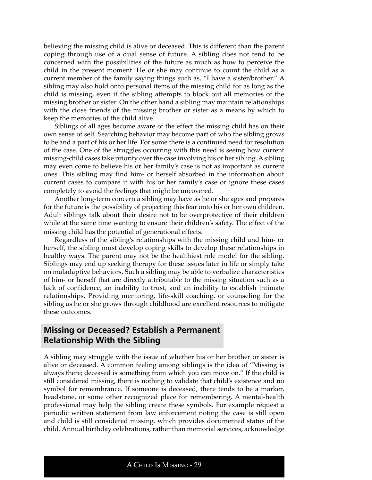believing the missing child is alive or deceased. This is different than the parent coping through use of a dual sense of future. A sibling does not tend to be concerned with the possibilities of the future as much as how to perceive the child in the present moment. He or she may continue to count the child as a current member of the family saying things such as, "I have a sister/brother." A sibling may also hold onto personal items of the missing child for as long as the child is missing, even if the sibling attempts to block out all memories of the missing brother or sister. On the other hand a sibling may maintain relationships with the close friends of the missing brother or sister as a means by which to keep the memories of the child alive.

Siblings of all ages become aware of the effect the missing child has on their own sense of self. Searching behavior may become part of who the sibling grows to be and a part of his or her life. For some there is a continued need for resolution of the case. One of the struggles occurring with this need is seeing how current missing-child cases take priority over the case involving his or her sibling. A sibling may even come to believe his or her family's case is not as important as current ones. This sibling may find him- or herself absorbed in the information about current cases to compare it with his or her family's case or ignore these cases completely to avoid the feelings that might be uncovered.

Another long-term concern a sibling may have as he or she ages and prepares for the future is the possibility of projecting this fear onto his or her own children. Adult siblings talk about their desire not to be overprotective of their children while at the same time wanting to ensure their children's safety. The effect of the missing child has the potential of generational effects.

Regardless of the sibling's relationships with the missing child and him- or herself, the sibling must develop coping skills to develop these relationships in healthy ways. The parent may not be the healthiest role model for the sibling. Siblings may end up seeking therapy for these issues later in life or simply take on maladaptive behaviors. Such a sibling may be able to verbalize characteristics of him- or herself that are directly attributable to the missing situation such as a lack of confidence, an inability to trust, and an inability to establish intimate relationships. Providing mentoring, life-skill coaching, or counseling for the sibling as he or she grows through childhood are excellent resources to mitigate these outcomes.

# **Missing or Deceased? Establish a Permanent Relationship With the Sibling**

A sibling may struggle with the issue of whether his or her brother or sister is alive or deceased. A common feeling among siblings is the idea of "Missing is always there; deceased is something from which you can move on." If the child is still considered missing, there is nothing to validate that child's existence and no symbol for remembrance. If someone is deceased, there tends to be a marker, headstone, or some other recognized place for remembering. A mental-health professional may help the sibling create these symbols. For example request a periodic written statement from law enforcement noting the case is still open and child is still considered missing, which provides documented status of the child. Annual birthday celebrations, rather than memorial services, acknowledge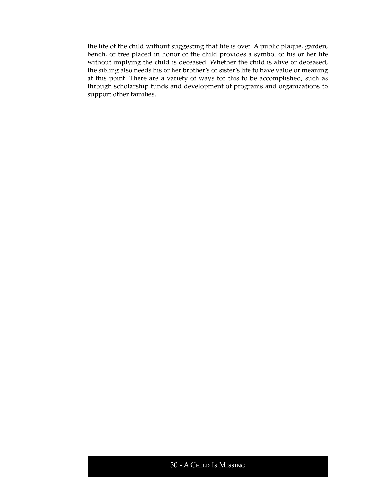the life of the child without suggesting that life is over. A public plaque, garden, bench, or tree placed in honor of the child provides a symbol of his or her life without implying the child is deceased. Whether the child is alive or deceased, the sibling also needs his or her brother's or sister's life to have value or meaning at this point. There are a variety of ways for this to be accomplished, such as through scholarship funds and development of programs and organizations to support other families.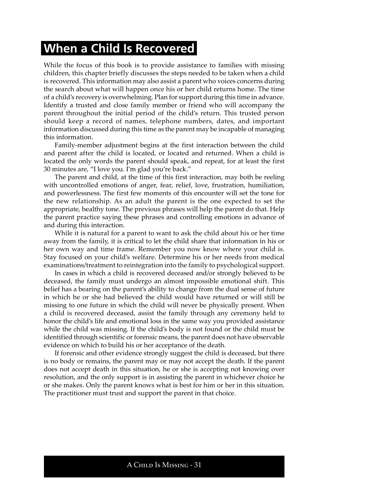# **When a Child Is Recovered**

While the focus of this book is to provide assistance to families with missing children, this chapter briefly discusses the steps needed to be taken when a child is recovered. This information may also assist a parent who voices concerns during the search about what will happen once his or her child returns home. The time of a child's recovery is overwhelming. Plan for support during this time in advance. Identify a trusted and close family member or friend who will accompany the parent throughout the initial period of the child's return. This trusted person should keep a record of names, telephone numbers, dates, and important information discussed during this time as the parent may be incapable of managing this information.

Family-member adjustment begins at the first interaction between the child and parent after the child is located, or located and returned. When a child is located the only words the parent should speak, and repeat, for at least the first 30 minutes are, "I love you. I'm glad you're back."

The parent and child, at the time of this first interaction, may both be reeling with uncontrolled emotions of anger, fear, relief, love, frustration, humiliation, and powerlessness. The first few moments of this encounter will set the tone for the new relationship. As an adult the parent is the one expected to set the appropriate, healthy tone. The previous phrases will help the parent do that. Help the parent practice saying these phrases and controlling emotions in advance of and during this interaction.

While it is natural for a parent to want to ask the child about his or her time away from the family, it is critical to let the child share that information in his or her own way and time frame. Remember you now know where your child is. Stay focused on your child's welfare. Determine his or her needs from medical examinations/treatment to reintegration into the family to psychological support.

In cases in which a child is recovered deceased and/or strongly believed to be deceased, the family must undergo an almost impossible emotional shift. This belief has a bearing on the parent's ability to change from the dual sense of future in which he or she had believed the child would have returned or will still be missing to one future in which the child will never be physically present. When a child is recovered deceased, assist the family through any ceremony held to honor the child's life and emotional loss in the same way you provided assistance while the child was missing. If the child's body is not found or the child must be identified through scientific or forensic means, the parent does not have observable evidence on which to build his or her acceptance of the death.

If forensic and other evidence strongly suggest the child is deceased, but there is no body or remains, the parent may or may not accept the death. If the parent does not accept death in this situation, he or she is accepting not knowing over resolution, and the only support is in assisting the parent in whichever choice he or she makes. Only the parent knows what is best for him or her in this situation. The practitioner must trust and support the parent in that choice.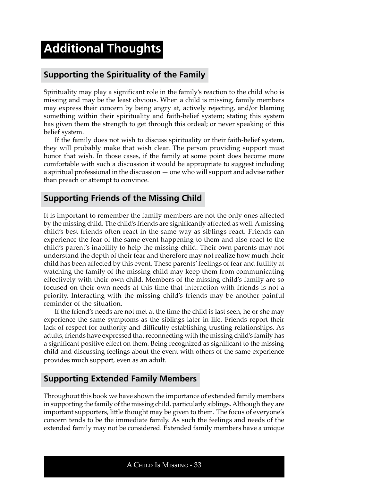# **Additional Thoughts**

# **Supporting the Spirituality of the Family**

Spirituality may play a significant role in the family's reaction to the child who is missing and may be the least obvious. When a child is missing, family members may express their concern by being angry at, actively rejecting, and/or blaming something within their spirituality and faith-belief system; stating this system has given them the strength to get through this ordeal; or never speaking of this belief system.

If the family does not wish to discuss spirituality or their faith-belief system, they will probably make that wish clear. The person providing support must honor that wish. In those cases, if the family at some point does become more comfortable with such a discussion it would be appropriate to suggest including a spiritual professional in the discussion — one who will support and advise rather than preach or attempt to convince.

### **Supporting Friends of the Missing Child**

It is important to remember the family members are not the only ones affected by the missing child. The child's friends are significantly affected as well. A missing child's best friends often react in the same way as siblings react. Friends can experience the fear of the same event happening to them and also react to the child's parent's inability to help the missing child. Their own parents may not understand the depth of their fear and therefore may not realize how much their child has been affected by this event. These parents' feelings of fear and futility at watching the family of the missing child may keep them from communicating effectively with their own child. Members of the missing child's family are so focused on their own needs at this time that interaction with friends is not a priority. Interacting with the missing child's friends may be another painful reminder of the situation.

If the friend's needs are not met at the time the child is last seen, he or she may experience the same symptoms as the siblings later in life. Friends report their lack of respect for authority and difficulty establishing trusting relationships. As adults, friends have expressed that reconnecting with the missing child's family has a significant positive effect on them. Being recognized as significant to the missing child and discussing feelings about the event with others of the same experience provides much support, even as an adult.

### **Supporting Extended Family Members**

Throughout this book we have shown the importance of extended family members in supporting the family of the missing child, particularly siblings. Although they are important supporters, little thought may be given to them. The focus of everyone's concern tends to be the immediate family. As such the feelings and needs of the extended family may not be considered. Extended family members have a unique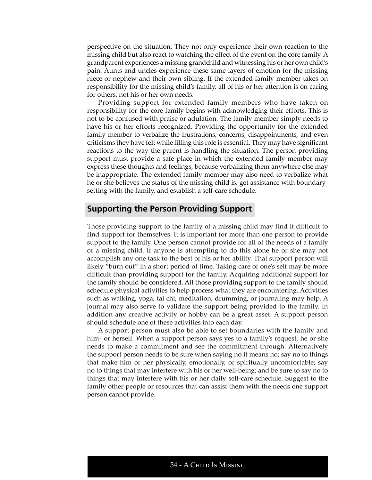perspective on the situation. They not only experience their own reaction to the missing child but also react to watching the effect of the event on the core family. A grandparent experiences a missing grandchild and witnessing his or her own child's pain. Aunts and uncles experience these same layers of emotion for the missing niece or nephew and their own sibling. If the extended family member takes on responsibility for the missing child's family, all of his or her attention is on caring for others, not his or her own needs.

Providing support for extended family members who have taken on responsibility for the core family begins with acknowledging their efforts. This is not to be confused with praise or adulation. The family member simply needs to have his or her efforts recognized. Providing the opportunity for the extended family member to verbalize the frustrations, concerns, disappointments, and even criticisms they have felt while filling this role is essential. They may have significant reactions to the way the parent is handling the situation. The person providing support must provide a safe place in which the extended family member may express these thoughts and feelings, because verbalizing them anywhere else may be inappropriate. The extended family member may also need to verbalize what he or she believes the status of the missing child is, get assistance with boundarysetting with the family, and establish a self-care schedule.

### **Supporting the Person Providing Support**

Those providing support to the family of a missing child may find it difficult to find support for themselves. It is important for more than one person to provide support to the family. One person cannot provide for all of the needs of a family of a missing child. If anyone is attempting to do this alone he or she may not accomplish any one task to the best of his or her ability. That support person will likely "burn out" in a short period of time. Taking care of one's self may be more difficult than providing support for the family. Acquiring additional support for the family should be considered. All those providing support to the family should schedule physical activities to help process what they are encountering. Activities such as walking, yoga, tai chi, meditation, drumming, or journaling may help. A journal may also serve to validate the support being provided to the family. In addition any creative activity or hobby can be a great asset. A support person should schedule one of these activities into each day.

A support person must also be able to set boundaries with the family and him- or herself. When a support person says yes to a family's request, he or she needs to make a commitment and see the commitment through. Alternatively the support person needs to be sure when saying no it means no; say no to things that make him or her physically, emotionally, or spiritually uncomfortable; say no to things that may interfere with his or her well-being; and be sure to say no to things that may interfere with his or her daily self-care schedule. Suggest to the family other people or resources that can assist them with the needs one support person cannot provide.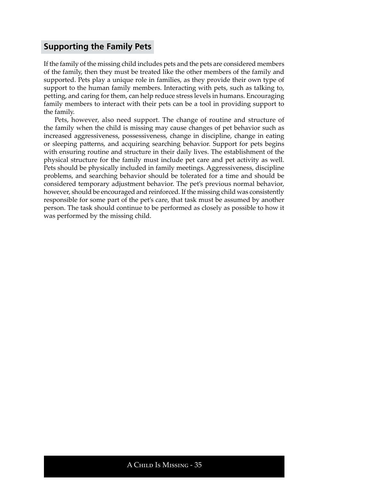# **Supporting the Family Pets**

If the family of the missing child includes pets and the pets are considered members of the family, then they must be treated like the other members of the family and supported. Pets play a unique role in families, as they provide their own type of support to the human family members. Interacting with pets, such as talking to, petting, and caring for them, can help reduce stress levels in humans. Encouraging family members to interact with their pets can be a tool in providing support to the family.

Pets, however, also need support. The change of routine and structure of the family when the child is missing may cause changes of pet behavior such as increased aggressiveness, possessiveness, change in discipline, change in eating or sleeping patterns, and acquiring searching behavior. Support for pets begins with ensuring routine and structure in their daily lives. The establishment of the physical structure for the family must include pet care and pet activity as well. Pets should be physically included in family meetings. Aggressiveness, discipline problems, and searching behavior should be tolerated for a time and should be considered temporary adjustment behavior. The pet's previous normal behavior, however, should be encouraged and reinforced. If the missing child was consistently responsible for some part of the pet's care, that task must be assumed by another person. The task should continue to be performed as closely as possible to how it was performed by the missing child.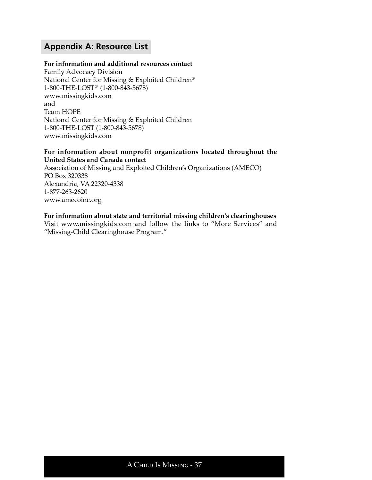# **Appendix A: Resource List**

#### **For information and additional resources contact**

Family Advocacy Division National Center for Missing & Exploited Children® 1-800-THE-LOST® (1-800-843-5678) www.missingkids.com and Team HOPE National Center for Missing & Exploited Children 1-800-THE-LOST (1-800-843-5678) www.missingkids.com

#### **For information about nonprofit organizations located throughout the United States and Canada contact**

Association of Missing and Exploited Children's Organizations (AMECO) PO Box 320338 Alexandria, VA 22320-4338 1-877-263-2620 www.amecoinc.org

#### **For information about state and territorial missing children's clearinghouses**

Visit www.missingkids.com and follow the links to "More Services" and "Missing-Child Clearinghouse Program."

# A Child Is Missing - 37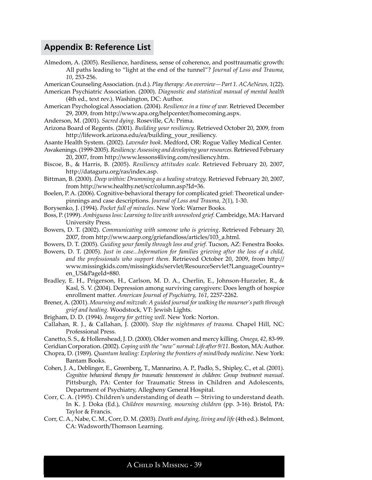# **Appendix B: Reference List**

Almedom, A. (2005). Resilience, hardiness, sense of coherence, and posttraumatic growth: All paths leading to "light at the end of the tunnel"? *Journal of Loss and Trauma*, *10*, 253-256.

American Counseling Association. (n.d.). *Play therapy: An overview—Part 1. ACAeNews, 1*(22).

American Psychiatric Association. (2000). *Diagnostic and statistical manual of mental health*  (4th ed., text rev.). Washington, DC: Author.

American Psychological Association. (2004). *Resilience in a time of war.* Retrieved December 29, 2009, from http://www.apa.org/helpcenter/homecoming.aspx.

Anderson, M. (2001). *Sacred dying*. Roseville, CA: Prima.

Arizona Board of Regents. (2001). *Building your resiliency.* Retrieved October 20, 2009, from http://lifework.arizona.edu/ea/building\_your\_resiliency.

Asante Health System. (2002). *Lavender book*. Medford, OR: Rogue Valley Medical Center.

Awakenings. (1999-2005). *Resiliency: Assessing and developing your resources.* Retrieved February 20, 2007, from http://www.lessons4living.com/resiliency.htm.

- Biscoe, B., & Harris, B. (2005). *Resiliency attitudes scale.* Retrieved February 20, 2007, http://dataguru.org/ras/index.asp.
- Bittman, B. (2000). *Deep within: Drumming as a healing strategy.* Retrieved February 20, 2007, from http://www.healthy.net/scr/column.asp?Id=36.
- Boelen, P. A. (2006). Cognitive-behavioral therapy for complicated grief: Theoretical underpinnings and case descriptions. *Journal of Loss and Trauma, 2*(1), 1-30.

Borysenko, J. (1994). *Pocket full of miracles*. New York: Warner Books.

Boss, P. (1999). *Ambiguous loss: Learning to live with unresolved grief.* Cambridge, MA: Harvard University Press.

Bowers, D. T. (2002). *Communicating with someone who is grieving*. Retrieved February 20, 2007, from http://www.aarp.org/griefandloss/articles/103\_a.html.

Bowers, D. T. (2005). *Guiding your family through loss and grief.* Tucson, AZ: Fenestra Books.

Bowers, D. T. (2005). *Just in case...Information for families grieving after the loss of a child, and the professionals who support them.* Retrieved October 20, 2009, from http:// www.missingkids.com/missingkids/servlet/ResourceServlet?LanguageCountry= en\_US&PageId=880.

Bradley, E. H., Prigerson, H., Carlson, M. D. A., Cherlin, E., Johnson-Hurzeler, R., & Kasl, S. V. (2004). Depression among surviving caregivers: Does length of hospice enrollment matter. *American Journal of Psychiatry, 161*, 2257-2262.

- Brener, A. (2001). *Mourning and mitzvah: A guided journal for walking the mourner's path through grief and healing.* Woodstock, VT: Jewish Lights.
- Brigham, D. D. (1994). *Imagery for getting well*. New York: Norton.
- Callahan, R. J., & Callahan, J. (2000). *Stop the nightmares of trauma.* Chapel Hill, NC: Professional Press.

Canetto, S. S., & Hollenshead, J. D. (2000). Older women and mercy killing. *Omega*, *42*, 83-99.

- Ceridian Corporation. (2002). *Coping with the "new" normal: Life after 9/11*. Boston, MA: Author.
- Chopra, D. (1989). *Quantum healing: Exploring the frontiers of mind/body medicine.* New York: Bantam Books.
- Cohen, J. A., Deblinger, E., Greenberg, T., Mannarino, A. P., Padlo, S., Shipley, C., et al. (2001). *Cognitive behavioral therapy for traumatic bereavement in children: Group treatment manual*. Pittsburgh, PA: Center for Traumatic Stress in Children and Adolescents, Department of Psychiatry, Allegheny General Hospital.
- Corr, C. A. (1995). Children's understanding of death Striving to understand death*.* In K. J. Doka (Ed.), *Children mourning, mourning children* (pp. 3-16). Bristol, PA: Taylor & Francis.
- Corr, C. A., Nabe, C. M., Corr, D. M. (2003). *Death and dying, living and life* (4th ed.). Belmont, CA: Wadsworth/Thomson Learning.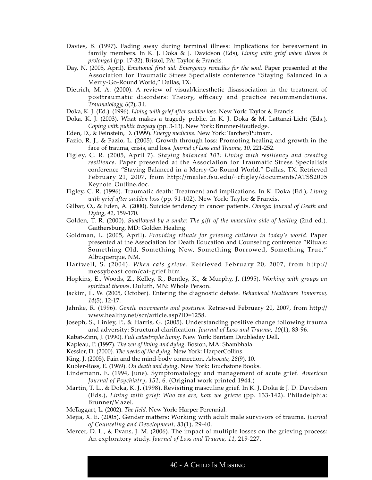- Davies, B. (1997). Fading away during terminal illness: Implications for bereavement in family members. In K. J. Doka & J. Davidson (Eds), *Living with grief when illness is prolonged* (pp. 17-32). Bristol, PA: Taylor & Francis.
- Day, N. (2005, April). *Emotional first aid: Emergency remedies for the soul*. Paper presented at the Association for Traumatic Stress Specialists conference "Staying Balanced in a Merry-Go-Round World," Dallas, TX.
- Dietrich, M. A. (2000). A review of visual/kinesthetic disassociation in the treatment of posttraumatic disorders: Theory, efficacy and practice recommendations. *Traumatology, 6*(2), 3.l.
- Doka, K. J. (Ed.). (1996). *Living with grief after sudden loss*. New York: Taylor & Francis.
- Doka, K. J. (2003). What makes a tragedy public. In K. J. Doka & M. Lattanzi-Licht (Eds.), *Coping with public tragedy* (pp. 3-13). New York: Brunner-Routledge.
- Eden, D., & Feinstein, D. (1999). *Energy medicine.* New York: Tarcher/Putnam.
- Fazio, R. J., & Fazio, L. (2005). Growth through loss: Promoting healing and growth in the face of trauma, crisis, and loss. *Journal of Loss and Trauma, 10*, 221-252.
- Figley, C. R. (2005, April 7). *Staying balanced 101: Living with resiliency and creating resilience*. Paper presented at the Association for Traumatic Stress Specialists conference "Staying Balanced in a Merry-Go-Round World," Dallas, TX. Retrieved February 21, 2007, from http://mailer.fsu.edu/~cfigley/documents/ATSS2005 Keynote\_Outline.doc.
- Figley, C. R. (1996). Traumatic death: Treatment and implications. In K. Doka (Ed.), *Living with grief after sudden loss* (pp. 91-102). New York: Taylor & Francis.
- Gilbar, O., & Eden, A. (2000). Suicide tendency in cancer patients. *Omega: Journal of Death and Dying, 42*, 159-170.
- Golden, T. R. (2000). *Swallowed by a snake: The gift of the masculine side of healing* (2nd ed.). Gaithersburg, MD: Golden Healing.
- Goldman, L. (2005, April). *Providing rituals for grieving children in today's world*. Paper presented at the Association for Death Education and Counseling conference "Rituals: Something Old, Something New, Something Borrowed, Something True," Albuquerque, NM.
- Hartwell, S. (2004). *When cats grieve.* Retrieved February 20, 2007, from http:// messybeast.com/cat-grief.htm.
- Hopkins, E., Woods, Z., Kelley, R., Bentley, K., & Murphy, J. (1995). *Working with groups on spiritual themes*. Duluth, MN: Whole Person.
- Jackim, L. W. (2005, October). Entering the diagnostic debate. *Behavioral Healthcare Tomorrow, 14*(5), 12-17.
- Jahnke, R. (1996). *Gentle movements and postures.* Retrieved February 20, 2007, from http:// www.healthy.net/scr/article.asp?ID=1258.
- Joseph, S., Linley, P., & Harris, G. (2005). Understanding positive change following trauma and adversity: Structural clarification. *Journal of Loss and Trauma, 10*(1), 83-96.
- Kabat-Zinn, J. (1990). *Full catastrophe living*. New York: Bantam Doubleday Dell.
- Kapleau, P. (1997). *The zen of living and dying*. Boston, MA: Shambhala.
- Kessler, D. (2000). *The needs of the dying*. New York: HarperCollins.
- King, J. (2005). Pain and the mind-body connection. *Advocate, 28*(9), 10.

Kubler-Ross, E. (1969). *On death and dying*. New York: Touchstone Books.

- Lindemann, E. (1994, June). Symptomatology and management of acute grief. *American Journal of Psychiatry*, *151*, 6. (Original work printed 1944.)
- Martin, T. L., & Doka, K. J. (1998). Revisiting masculine grief. In K. J. Doka & J. D. Davidson (Eds.), *Living with grief: Who we are, how we grieve* (pp. 133-142). Philadelphia: Brunner/Mazel.
- McTaggart, L. (2002). *The field.* New York: Harper Perennial.
- Mejia, X. E. (2005). Gender matters: Working with adult male survivors of trauma. *Journal of Counseling and Development, 83*(1), 29-40.
- Mercer, D. L., & Evans, J. M. (2006). The impact of multiple losses on the grieving process: An exploratory study. *Journal of Loss and Trauma, 11*, 219-227.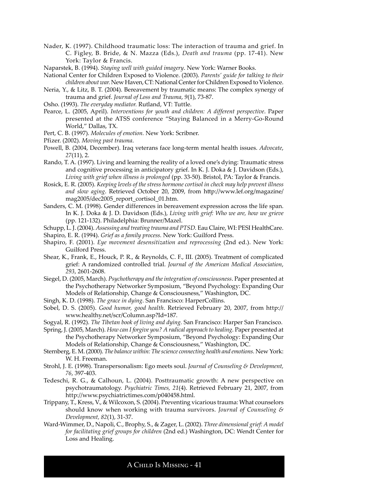- Nader, K. (1997). Childhood traumatic loss: The interaction of trauma and grief. In C. Figley, B. Bride, & N. Mazza (Eds.), *Death and trauma* (pp. 17-41). New York: Taylor & Francis.
- Naparstek, B. (1994). *Staying well with guided imagery*. New York: Warner Books.
- National Center for Children Exposed to Violence. (2003). *Parents' guide for talking to their children about war.* New Haven, CT: National Center for Children Exposed to Violence.
- Neria, Y., & Litz, B. T. (2004). Bereavement by traumatic means: The complex synergy of trauma and grief. *Journal of Loss and Trauma*, *9*(1), 73-87.
- Osho. (1993). *The everyday mediator.* Rutland, VT: Tuttle.
- Pearce, L. (2005, April). *Interventions for youth and children: A different perspective*. Paper presented at the ATSS conference "Staying Balanced in a Merry-Go-Round World," Dallas, TX.
- Pert, C. B. (1997). *Molecules of emotion.* New York: Scribner.
- Pfizer. (2002). *Moving past trauma*.
- Powell, B. (2004, December). Iraq veterans face long-term mental health issues. *Advocate*, *27*(11), 2.
- Rando, T. A. (1997). Living and learning the reality of a loved one's dying: Traumatic stress and cognitive processing in anticipatory grief. In K. J. Doka & J. Davidson (Eds.), *Living with grief when illness is prolonged* (pp. 33-50). Bristol, PA: Taylor & Francis.
- Rosick, E. R. (2005). *Keeping levels of the stress hormone cortisol in check may help prevent illness and slow aging*. Retrieved October 20, 2009, from http://www.lef.org/magazine/ mag2005/dec2005\_report\_cortisol\_01.htm.
- Sanders, C. M. (1998). Gender differences in bereavement expression across the life span. In K. J. Doka & J. D. Davidson (Eds.), *Living with grief: Who we are, how we grieve* (pp. 121-132). Philadelphia: Brunner/Mazel.
- Schupp, L. J. (2004). *Assessing and treating trauma and PTSD.* Eau Claire, WI: PESI HealthCare.
- Shapiro, E. R. (1994). *Grief as a family process.* New York: Guilford Press.
- Shapiro, F. (2001). *Eye movement desensitization and reprocessing* (2nd ed.). New York: Guilford Press.
- Shear, K., Frank, E., Houck, P. R., & Reynolds, C. F., III. (2005). Treatment of complicated grief: A randomized controlled trial. *Journal of the American Medical Association*, *293*, 2601-2608.
- Siegel, D. (2005, March). *Psychotherapy and the integration of consciousness*. Paper presented at the Psychotherapy Networker Symposium, "Beyond Psychology: Expanding Our Models of Relationship, Change & Consciousness," Washington, DC.
- Singh, K. D. (1998). *The grace in dying*. San Francisco: HarperCollins.
- Sobel, D. S. (2005). *Good humor, good health.* Retrieved February 20, 2007, from http:// www.healthy.net/scr/Column.asp?Id=187.
- Sogyal, R. (1992). *The Tibetan book of living and dying.* San Francisco: Harper San Francisco.
- Spring, J. (2005, March). *How can I forgive you? A radical approach to healing*. Paper presented at the Psychotherapy Networker Symposium, "Beyond Psychology: Expanding Our Models of Relationship, Change & Consciousness," Washington, DC.
- Sternberg, E. M. (2000). *The balance within: The science connecting health and emotions.* New York: W. H. Freeman.
- Strohl, J. E. (1998). Transpersonalism: Ego meets soul. *Journal of Counseling & Development, 76*, 397-403.
- Tedeschi, R. G., & Calhoun, L. (2004). Posttraumatic growth: A new perspective on psychotraumatology. *Psychiatric Times, 21*(4). Retrieved February 21, 2007, from http://www.psychiatrictimes.com/p040458.html.
- Trippany, T., Kress, V., & Wilcoxon, S. (2004). Preventing vicarious trauma: What counselors should know when working with trauma survivors. *Journal of Counseling & Development, 82*(1), 31-37.
- Ward-Wimmer, D., Napoli, C., Brophy, S., & Zager, L. (2002). *Three dimensional grief: A model for facilitating grief groups for children* (2nd ed.) Washington, DC: Wendt Center for Loss and Healing.

A Child Is Missing - 41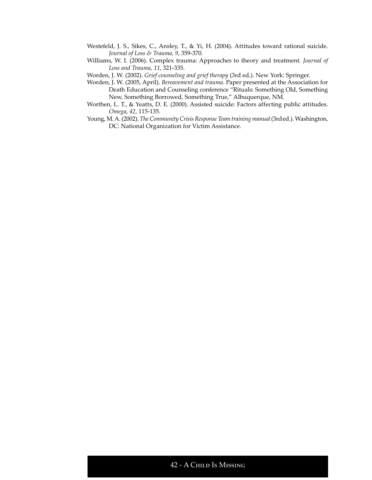- Westefeld, J. S., Sikes, C., Ansley, T., & Yi, H. (2004). Attitudes toward rational suicide. *Journal of Loss & Trauma, 9*, 359-370.
- Williams, W. I. (2006). Complex trauma: Approaches to theory and treatment. *Journal of Loss and Trauma, 11*, 321-335.
- Worden, J. W. (2002). *Grief counseling and grief therapy* (3rd ed.). New York: Springer.
- Worden, J. W. (2005, April). *Bereavement and trauma*. Paper presented at the Association for Death Education and Counseling conference "Rituals: Something Old, Something New, Something Borrowed, Something True," Albuquerque, NM.
- Worthen, L. T., & Yeatts, D. E. (2000). Assisted suicide: Factors affecting public attitudes. *Omega*, *42*, 115-135.
- Young, M. A. (2002). *The Community Crisis Response Team training manual* (3rded.). Washington, DC: National Organization for Victim Assistance.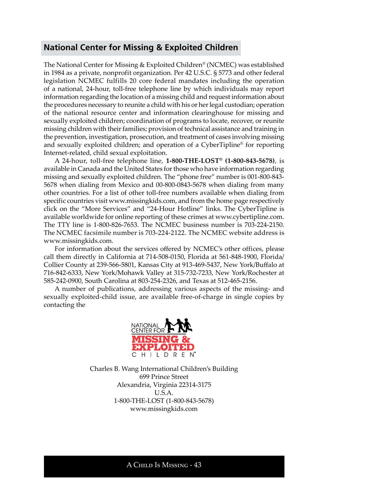# **National Center for Missing & Exploited Children**

The National Center for Missing & Exploited Children® (NCMEC) was established in 1984 as a private, nonprofit organization. Per 42 U.S.C. § 5773 and other federal legislation NCMEC fulfills 20 core federal mandates including the operation of a national, 24-hour, toll-free telephone line by which individuals may report information regarding the location of a missing child and request information about the procedures necessary to reunite a child with his or her legal custodian; operation of the national resource center and information clearinghouse for missing and sexually exploited children; coordination of programs to locate, recover, or reunite missing children with their families; provision of technical assistance and training in the prevention, investigation, prosecution, and treatment of cases involving missing and sexually exploited children; and operation of a CyberTipline® for reporting Internet-related, child sexual exploitation.

A 24-hour, toll-free telephone line, **1-800-THE-LOST® (1-800-843-5678)**, is available in Canada and the United States for those who have information regarding missing and sexually exploited children. The "phone free" number is 001-800-843- 5678 when dialing from Mexico and 00-800-0843-5678 when dialing from many other countries. For a list of other toll-free numbers available when dialing from specific countries visit www.missingkids.com, and from the home page respectively click on the "More Services" and "24-Hour Hotline" links. The CyberTipline is available worldwide for online reporting of these crimes at www.cybertipline.com. The TTY line is 1-800-826-7653. The NCMEC business number is 703-224-2150. The NCMEC facsimile number is 703-224-2122. The NCMEC website address is www.missingkids.com.

For information about the services offered by NCMEC's other offices, please call them directly in California at 714-508-0150, Florida at 561-848-1900, Florida/ Collier County at 239-566-5801, Kansas City at 913-469-5437, New York/Buffalo at 716-842-6333, New York/Mohawk Valley at 315-732-7233, New York/Rochester at 585-242-0900, South Carolina at 803-254-2326, and Texas at 512-465-2156.

A number of publications, addressing various aspects of the missing- and sexually exploited-child issue, are available free-of-charge in single copies by contacting the



Charles B. Wang International Children's Building 699 Prince Street Alexandria, Virginia 22314-3175 U.S.A. 1-800-THE-LOST (1-800-843-5678) www.missingkids.com